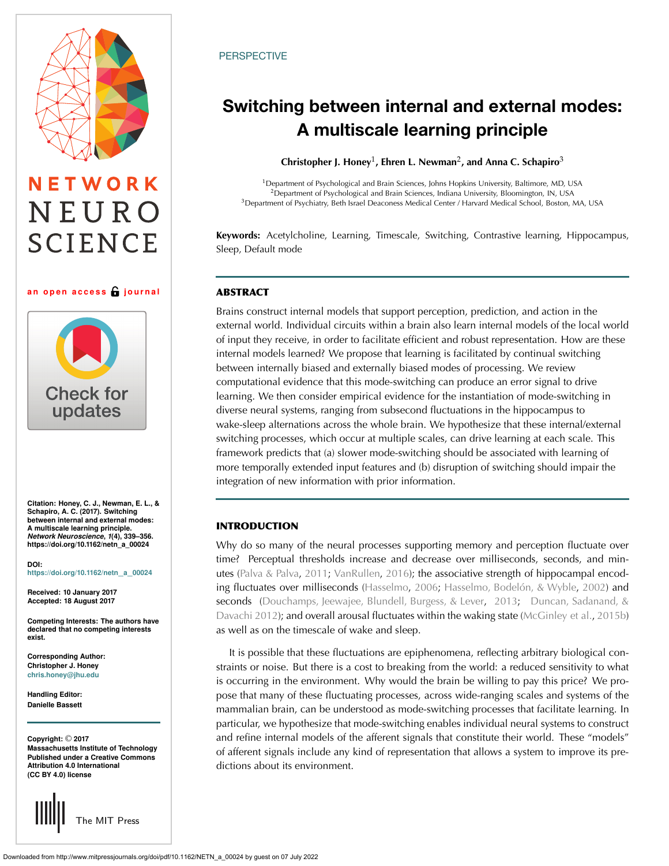# NETWORK NEURO **SCIENCE**

#### **an open access journal**



**Citation: Honey, C. J., Newman, E. L., & Schapiro, A. C. (2017). Switching between internal and external modes: A multiscale learning principle.** *Network Neuroscience***,** *1***(4), 339–356. https://doi.org/10.1162/netn\_a\_00024**

**DOI: [https://doi.org/10.1162/netn](https://dx.doi.org/10.1162/netn_a_00024)**\_**a**\_**<sup>00024</sup>**

**Received: 10 January 2017 Accepted: 18 August 2017**

**Competing Interests: The authors have declared that no competing interests exist.**

**Corresponding Author: Christopher J. Honey [chris.honey@jhu.edu](mailto:chris.honey@jhu.edu)**

**Handling Editor: Danielle Bassett**

**Copyright:** © **2017 Massachusetts Institute of Technology Published under a Creative Commons Attribution 4.0 International (CC BY 4.0) license**

The MIT Press

#### **PERSPECTIVE**

## **Switching between internal and external modes: A multiscale learning principle**

**Christopher J. Honey**1**, Ehren L. Newman**2**, and Anna C. Schapiro**<sup>3</sup>

<sup>1</sup>Department of Psychological and Brain Sciences, Johns Hopkins University, Baltimore, MD, USA <sup>2</sup>Department of Psychological and Brain Sciences, Indiana University, Bloomington, IN, USA <sup>3</sup>Department of Psychiatry, Beth Israel Deaconess Medical Center / Harvard Medical School, Boston, MA, USA

**Keywords:** Acetylcholine, Learning, Timescale, Switching, Contrastive learning, Hippocampus, Sleep, Default mode

#### **ABSTRACT**

Brains construct internal models that support perception, prediction, and action in the external world. Individual circuits within a brain also learn internal models of the local world of input they receive, in order to facilitate efficient and robust representation. How are these internal models learned? We propose that learning is facilitated by continual switching between internally biased and externally biased modes of processing. We review computational evidence that this mode-switching can produce an error signal to drive learning. We then consider empirical evidence for the instantiation of mode-switching in diverse neural systems, ranging from subsecond fluctuations in the hippocampus to wake-sleep alternations across the whole brain. We hypothesize that these internal/external switching processes, which occur at multiple scales, can drive learning at each scale. This framework predicts that (a) slower mode-switching should be associated with learning of more temporally extended input features and (b) disruption of switching should impair the integration of new information with prior information.

#### **INTRODUCTION**

Why do so many of the neural processes supporting memory and perception fluctuate over time? Perceptual thresholds increase and decrease over milliseconds, seconds, and minutes [\(Palva & Palva,](#page-16-0) [2011](#page-16-0); [VanRullen,](#page-17-0) [2016\)](#page-17-0); the associative strength of hippocampal encoding fluctuates over milliseconds [\(Hasselmo,](#page-14-0) [2006;](#page-14-0) [Hasselmo, Bodelón, & Wyble,](#page-14-1) [2002\)](#page-14-1) and seconds [\(Douchamps, Jeewajee, Blundell, Burgess, & Lever](#page-14-2), [2013;](#page-14-2) [Duncan, Sadanand, &](#page-14-3) [Davachi](#page-14-3) [2012\)](#page-14-4); and overall arousal fluctuates within the waking state [\(McGinley et al.](#page-15-0), [2015b](#page-15-0)) as well as on the timescale of wake and sleep.

It is possible that these fluctuations are epiphenomena, reflecting arbitrary biological constraints or noise. But there is a cost to breaking from the world: a reduced sensitivity to what is occurring in the environment. Why would the brain be willing to pay this price? We propose that many of these fluctuating processes, across wide-ranging scales and systems of the mammalian brain, can be understood as mode-switching processes that facilitate learning. In particular, we hypothesize that mode-switching enables individual neural systems to construct and refine internal models of the afferent signals that constitute their world. These "models" of afferent signals include any kind of representation that allows a system to improve its predictions about its environment.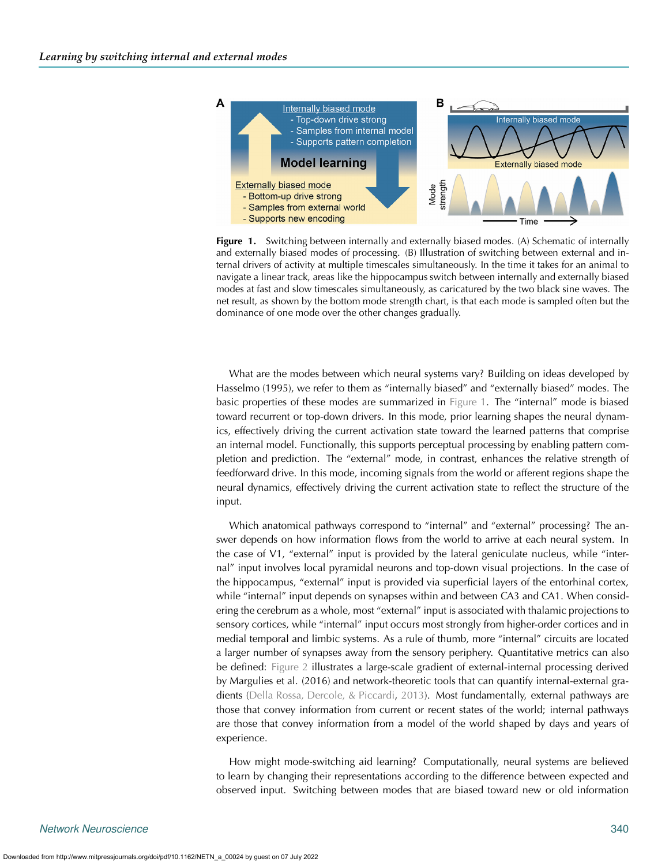

<span id="page-1-0"></span>**Figure 1.** Switching between internally and externally biased modes. (A) Schematic of internally and externally biased modes of processing. (B) Illustration of switching between external and internal drivers of activity at multiple timescales simultaneously. In the time it takes for an animal to navigate a linear track, areas like the hippocampus switch between internally and externally biased modes at fast and slow timescales simultaneously, as caricatured by the two black sine waves. The net result, as shown by the bottom mode strength chart, is that each mode is sampled often but the dominance of one mode over the other changes gradually.

What are the modes between which neural systems vary? Building on ideas developed by Hasselmo (1995), we refer to them as "internally biased" and "externally biased" modes. The basic properties of these modes are summarized in [Figure 1.](#page-1-0) The "internal" mode is biased toward recurrent or top-down drivers. In this mode, prior learning shapes the neural dynamics, effectively driving the current activation state toward the learned patterns that comprise an internal model. Functionally, this supports perceptual processing by enabling pattern completion and prediction. The "external" mode, in contrast, enhances the relative strength of feedforward drive. In this mode, incoming signals from the world or afferent regions shape the neural dynamics, effectively driving the current activation state to reflect the structure of the input.

Which anatomical pathways correspond to "internal" and "external" processing? The answer depends on how information flows from the world to arrive at each neural system. In the case of V1, "external" input is provided by the lateral geniculate nucleus, while "internal" input involves local pyramidal neurons and top-down visual projections. In the case of the hippocampus, "external" input is provided via superficial layers of the entorhinal cortex, while "internal" input depends on synapses within and between CA3 and CA1. When considering the cerebrum as a whole, most "external" input is associated with thalamic projections to sensory cortices, while "internal" input occurs most strongly from higher-order cortices and in medial temporal and limbic systems. As a rule of thumb, more "internal" circuits are located a larger number of synapses away from the sensory periphery. Quantitative metrics can also be defined: [Figure 2](#page-2-0) illustrates a large-scale gradient of external-internal processing derived by Margulies et al. (2016) and network-theoretic tools that can quantify internal-external gradients [\(Della Rossa, Dercole, & Piccardi](#page-14-5), [2013\)](#page-14-5). Most fundamentally, external pathways are those that convey information from current or recent states of the world; internal pathways are those that convey information from a model of the world shaped by days and years of experience.

How might mode-switching aid learning? Computationally, neural systems are believed to learn by changing their representations according to the difference between expected and observed input. Switching between modes that are biased toward new or old information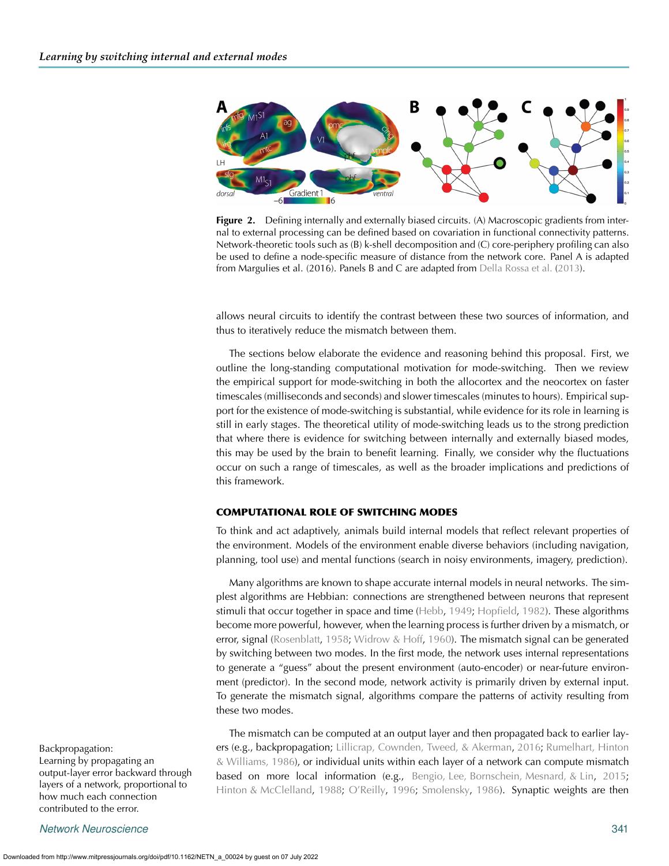

<span id="page-2-0"></span>**Figure 2.** Defining internally and externally biased circuits. (A) Macroscopic gradients from internal to external processing can be defined based on covariation in functional connectivity patterns. Network-theoretic tools such as (B) k-shell decomposition and (C) core-periphery profiling can also be used to define a node-specific measure of distance from the network core. Panel A is adapted from Margulies et al. (2016). Panels B and C are adapted from [Della Rossa et al.](#page-14-5) [\(2013\)](#page-14-5).

allows neural circuits to identify the contrast between these two sources of information, and thus to iteratively reduce the mismatch between them.

The sections below elaborate the evidence and reasoning behind this proposal. First, we outline the long-standing computational motivation for mode-switching. Then we review the empirical support for mode-switching in both the allocortex and the neocortex on faster timescales (milliseconds and seconds) and slower timescales (minutes to hours). Empirical support for the existence of mode-switching is substantial, while evidence for its role in learning is still in early stages. The theoretical utility of mode-switching leads us to the strong prediction that where there is evidence for switching between internally and externally biased modes, this may be used by the brain to benefit learning. Finally, we consider why the fluctuations occur on such a range of timescales, as well as the broader implications and predictions of this framework.

#### **COMPUTATIONAL ROLE OF SWITCHING MODES**

To think and act adaptively, animals build internal models that reflect relevant properties of the environment. Models of the environment enable diverse behaviors (including navigation, planning, tool use) and mental functions (search in noisy environments, imagery, prediction).

Many algorithms are known to shape accurate internal models in neural networks. The simplest algorithms are Hebbian: connections are strengthened between neurons that represent stimuli that occur together in space and time [\(Hebb,](#page-14-6) [1949](#page-14-6); [Hopfield](#page-15-1), [1982](#page-15-1)). These algorithms become more powerful, however, when the learning process is further driven by a mismatch, or error, signal [\(Rosenblatt](#page-16-1), [1958](#page-16-1); [Widrow & Hoff,](#page-17-1) [1960](#page-17-1)). The mismatch signal can be generated by switching between two modes. In the first mode, the network uses internal representations to generate a "guess" about the present environment (auto-encoder) or near-future environment (predictor). In the second mode, network activity is primarily driven by external input. To generate the mismatch signal, algorithms compare the patterns of activity resulting from these two modes.

Learning by propagating an output-layer error backward through layers of a network, proportional to how much each connection contributed to the error.

*Network Neuroscience* 341

The mismatch can be computed at an output layer and then propagated back to earlier lay-Backpropagation: ers (e.g., backpropagation; [Lillicrap, Cownden, Tweed, & Akerman,](#page-15-2) [2016;](#page-15-2) [Rumelhart, Hinton](#page-16-2) [& Williams,](#page-16-2) [1986\)](#page-16-3), or individual units within each layer of a network can compute mismatch based on more local information (e.g., [Bengio, Lee, Bornschein, Mesnard, & Lin](#page-13-0), [2015](#page-13-0); [Hinton & McClelland,](#page-15-3) [1988;](#page-15-3) [O'Reilly,](#page-16-4) [1996](#page-16-4); [Smolensky,](#page-16-5) [1986](#page-16-5)). Synaptic weights are then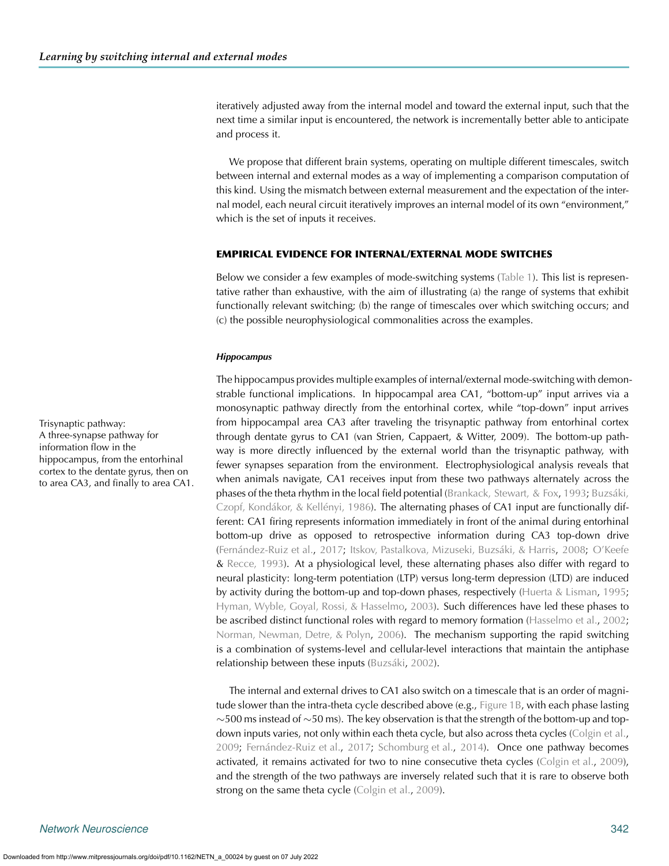iteratively adjusted away from the internal model and toward the external input, such that the next time a similar input is encountered, the network is incrementally better able to anticipate and process it.

We propose that different brain systems, operating on multiple different timescales, switch between internal and external modes as a way of implementing a comparison computation of this kind. Using the mismatch between external measurement and the expectation of the internal model, each neural circuit iteratively improves an internal model of its own "environment," which is the set of inputs it receives.

#### **EMPIRICAL EVIDENCE FOR INTERNAL/EXTERNAL MODE SWITCHES**

Below we consider a few examples of mode-switching systems [\(Table 1\)](#page-4-0). This list is representative rather than exhaustive, with the aim of illustrating (a) the range of systems that exhibit functionally relevant switching; (b) the range of timescales over which switching occurs; and (c) the possible neurophysiological commonalities across the examples.

#### *Hippocampus*

The hippocampus provides multiple examples of internal/external mode-switching with demonstrable functional implications. In hippocampal area CA1, "bottom-up" input arrives via a monosynaptic pathway directly from the entorhinal cortex, while "top-down" input arrives Trisynaptic pathway: from hippocampal area CA3 after traveling the trisynaptic pathway from entorhinal cortex through dentate gyrus to CA1 (van Strien, Cappaert, & Witter, 2009). The bottom-up pathway is more directly influenced by the external world than the trisynaptic pathway, with fewer synapses separation from the environment. Electrophysiological analysis reveals that when animals navigate, CA1 receives input from these two pathways alternately across the phases of the theta rhythm in the local field potential [\(Brankack, Stewart, & Fox](#page-13-1), [1993;](#page-13-1) [Buzsáki,](#page-14-7) [Czopf, Kondákor, & Kellényi,](#page-14-7) [1986\)](#page-14-8). The alternating phases of CA1 input are functionally different: CA1 firing represents information immediately in front of the animal during entorhinal bottom-up drive as opposed to retrospective information during CA3 top-down drive [\(Fernández-Ruiz et al.,](#page-14-9) [2017](#page-14-9); [Itskov, Pastalkova, Mizuseki, Buzsáki, & Harris,](#page-15-4) [2008](#page-15-4); [O'Keefe](#page-16-6) & [Recce,](#page-16-6) [1993\)](#page-16-7). At a physiological level, these alternating phases also differ with regard to neural plasticity: long-term potentiation (LTP) versus long-term depression (LTD) are induced by activity during the bottom-up and top-down phases, respectively [\(Huerta & Lisman,](#page-15-5) [1995](#page-15-5); [Hyman, Wyble, Goyal, Rossi, & Hasselmo](#page-15-6), [2003\)](#page-15-6). Such differences have led these phases to be ascribed distinct functional roles with regard to memory formation [\(Hasselmo et al.,](#page-14-1) [2002](#page-14-1); [Norman, Newman, Detre, & Polyn](#page-16-8), [2006](#page-16-8)). The mechanism supporting the rapid switching is a combination of systems-level and cellular-level interactions that maintain the antiphase relationship between these inputs [\(Buzsáki,](#page-14-10) [2002](#page-14-10)).

> The internal and external drives to CA1 also switch on a timescale that is an order of magnitude slower than the intra-theta cycle described above (e.g., [Figure 1B,](#page-1-0) with each phase lasting  $\sim$ 500 ms instead of  $\sim$ 50 ms). The key observation is that the strength of the bottom-up and top-down inputs varies, not only within each theta cycle, but also across theta cycles [\(Colgin et al.](#page-14-11), [2009;](#page-14-11) [Fernández-Ruiz et al.,](#page-14-9) [2017;](#page-14-9) [Schomburg et al.,](#page-16-9) [2014\)](#page-16-9). Once one pathway becomes activated, it remains activated for two to nine consecutive theta cycles [\(Colgin et al.,](#page-14-11) [2009\)](#page-14-11), and the strength of the two pathways are inversely related such that it is rare to observe both strong on the same theta cycle [\(Colgin et al.,](#page-14-11) [2009](#page-14-11)).

A three-synapse pathway for information flow in the hippocampus, from the entorhinal cortex to the dentate gyrus, then on to area CA3, and finally to area CA1.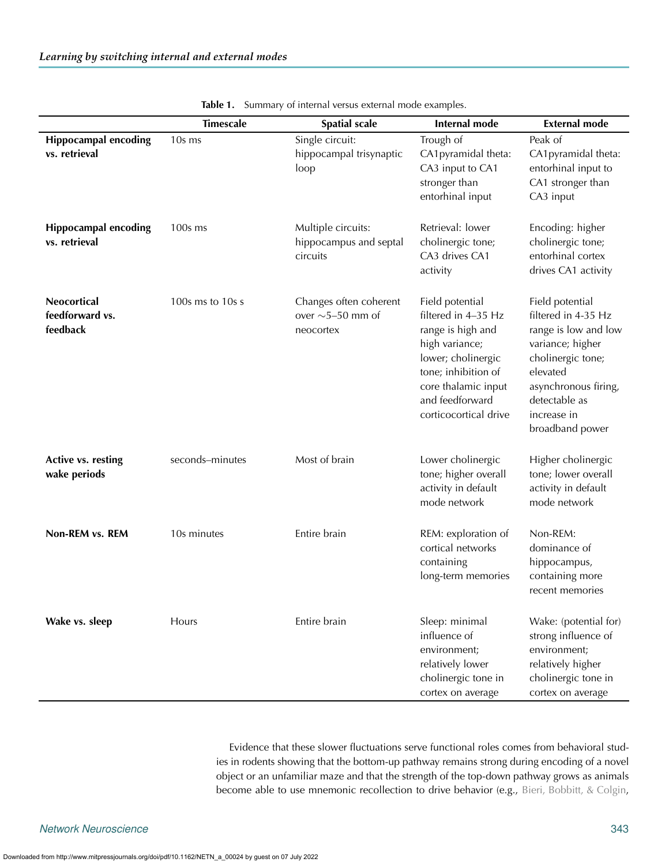|                                              | <b>Timescale</b> | <b>Spatial scale</b>                                          | <b>Internal mode</b>                                                                                                                                                                          | <b>External mode</b>                                                                                                                                                                           |
|----------------------------------------------|------------------|---------------------------------------------------------------|-----------------------------------------------------------------------------------------------------------------------------------------------------------------------------------------------|------------------------------------------------------------------------------------------------------------------------------------------------------------------------------------------------|
| <b>Hippocampal encoding</b><br>vs. retrieval | 10s ms           | Single circuit:<br>hippocampal trisynaptic<br>loop            | Trough of<br>CA1pyramidal theta:<br>CA3 input to CA1<br>stronger than<br>entorhinal input                                                                                                     | Peak of<br>CA1pyramidal theta:<br>entorhinal input to<br>CA1 stronger than<br>CA3 input                                                                                                        |
| <b>Hippocampal encoding</b><br>vs. retrieval | 100s ms          | Multiple circuits:<br>hippocampus and septal<br>circuits      | Retrieval: lower<br>cholinergic tone;<br>CA3 drives CA1<br>activity                                                                                                                           | Encoding: higher<br>cholinergic tone;<br>entorhinal cortex<br>drives CA1 activity                                                                                                              |
| Neocortical<br>feedforward vs.<br>feedback   | 100s ms to 10s s | Changes often coherent<br>over $\sim$ 5-50 mm of<br>neocortex | Field potential<br>filtered in 4-35 Hz<br>range is high and<br>high variance;<br>lower; cholinergic<br>tone; inhibition of<br>core thalamic input<br>and feedforward<br>corticocortical drive | Field potential<br>filtered in 4-35 Hz<br>range is low and low<br>variance; higher<br>cholinergic tone;<br>elevated<br>asynchronous firing,<br>detectable as<br>increase in<br>broadband power |
| Active vs. resting<br>wake periods           | seconds-minutes  | Most of brain                                                 | Lower cholinergic<br>tone; higher overall<br>activity in default<br>mode network                                                                                                              | Higher cholinergic<br>tone; lower overall<br>activity in default<br>mode network                                                                                                               |
| Non-REM vs. REM                              | 10s minutes      | Entire brain                                                  | REM: exploration of<br>cortical networks<br>containing<br>long-term memories                                                                                                                  | Non-REM:<br>dominance of<br>hippocampus,<br>containing more<br>recent memories                                                                                                                 |
| Wake vs. sleep                               | <b>Hours</b>     | Entire brain                                                  | Sleep: minimal<br>influence of<br>environment;<br>relatively lower<br>cholinergic tone in<br>cortex on average                                                                                | Wake: (potential for)<br>strong influence of<br>environment;<br>relatively higher<br>cholinergic tone in<br>cortex on average                                                                  |

<span id="page-4-0"></span>**Table 1.** Summary of internal versus external mode examples.

Evidence that these slower fluctuations serve functional roles comes from behavioral studies in rodents showing that the bottom-up pathway remains strong during encoding of a novel object or an unfamiliar maze and that the strength of the top-down pathway grows as animals become able to use mnemonic recollection to drive behavior (e.g., [Bieri, Bobbitt, & Colgin](#page-13-2),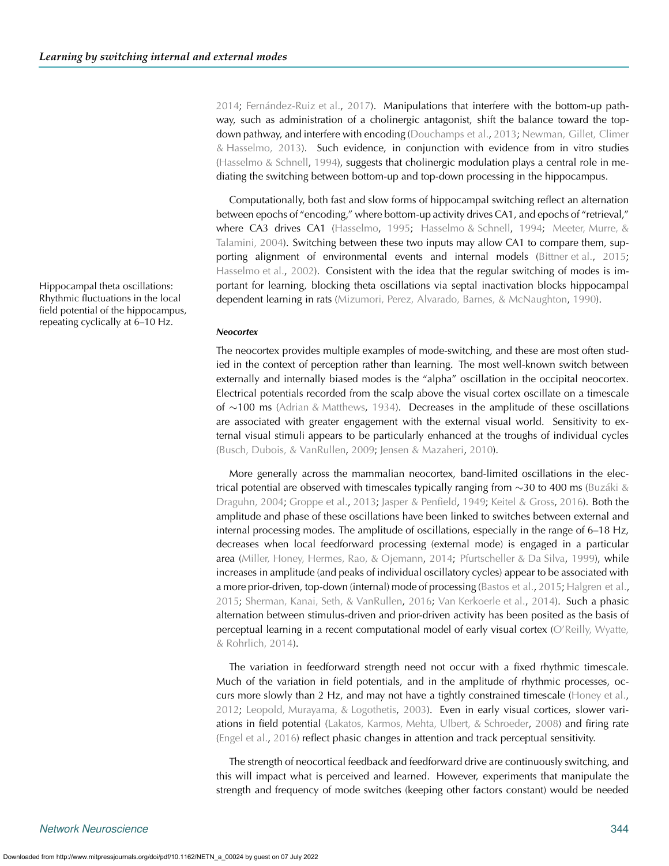[2014;](#page-13-2) [Fernández-Ruiz et al.,](#page-14-9) [2017](#page-14-9)). Manipulations that interfere with the bottom-up pathway, such as administration of a cholinergic antagonist, shift the balance toward the topdown pathway, and interfere with encoding [\(Douchamps et al.,](#page-14-2) [2013](#page-14-2); [Newman, Gillet, Climer](#page-16-10) [& Hasselmo,](#page-16-10) [2013](#page-16-11)). Such evidence, in conjunction with evidence from in vitro studies (Hasselmo  $&$  Schnell, [1994\)](#page-14-12), suggests that cholinergic modulation plays a central role in mediating the switching between bottom-up and top-down processing in the hippocampus.

Computationally, both fast and slow forms of hippocampal switching reflect an alternation between epochs of "encoding," where bottom-up activity drives CA1, and epochs of "retrieval," where CA3 drives CA1 [\(Hasselmo](#page-14-13), [1995;](#page-14-13) [Hasselmo & Schnell](#page-14-12), [1994;](#page-14-12) [Meeter, Murre, &](#page-15-7) [Talamini,](#page-15-7) [2004](#page-15-8)). Switching between these two inputs may allow CA1 to compare them, supporting alignment of environmental events and internal models [\(Bittner et al.,](#page-13-3) [2015](#page-13-3); [Hasselmo et al.](#page-14-1), [2002\)](#page-14-1). Consistent with the idea that the regular switching of modes is im-Hippocampal theta oscillations: portant for learning, blocking theta oscillations via septal inactivation blocks hippocampal dependent learning in rats [\(Mizumori, Perez, Alvarado, Barnes, & McNaughton](#page-15-9), [1990\)](#page-15-9).

#### *Neocortex*

The neocortex provides multiple examples of mode-switching, and these are most often studied in the context of perception rather than learning. The most well-known switch between externally and internally biased modes is the "alpha" oscillation in the occipital neocortex. Electrical potentials recorded from the scalp above the visual cortex oscillate on a timescale of ∼100 ms [\(Adrian & Matthews](#page-13-4), [1934](#page-13-4)). Decreases in the amplitude of these oscillations are associated with greater engagement with the external visual world. Sensitivity to external visual stimuli appears to be particularly enhanced at the troughs of individual cycles [\(Busch, Dubois, & VanRullen,](#page-14-14) [2009;](#page-14-14) [Jensen & Mazaheri,](#page-15-10) [2010](#page-15-10)).

More generally across the mammalian neocortex, band-limited oscillations in the electrical potential are observed with timescales typically ranging from ∼30 to 400 ms [\(Buzáki &](#page-14-15) [Draguhn, 2004;](#page-14-15) [Groppe et al.](#page-14-16), [2013;](#page-14-16) [Jasper & Penfield](#page-15-11), [1949;](#page-15-11) [Keitel & Gross,](#page-15-12) [2016\)](#page-15-12). Both the amplitude and phase of these oscillations have been linked to switches between external and internal processing modes. The amplitude of oscillations, especially in the range of 6–18 Hz, decreases when local feedforward processing (external mode) is engaged in a particular area [\(Miller, Honey, Hermes, Rao, & Ojemann](#page-15-13), [2014;](#page-15-13) [Pfurtscheller & Da Silva](#page-16-12), [1999\)](#page-16-12), while increases in amplitude (and peaks of individual oscillatory cycles) appear to be associated with a more prior-driven, top-down (internal) mode of processing [\(Bastos et al.,](#page-13-5) [2015](#page-13-5); [Halgren et al.,](#page-14-17) [2015;](#page-14-17) [Sherman, Kanai, Seth, & VanRullen](#page-16-13), [2016](#page-16-13); [Van Kerkoerle et al.](#page-17-2), [2014\)](#page-17-2). Such a phasic alternation between stimulus-driven and prior-driven activity has been posited as the basis of perceptual learning in a recent computational model of early visual cortex [\(O'Reilly, Wyatte,](#page-16-14) [& Rohrlich,](#page-16-14) [2014](#page-16-15)).

The variation in feedforward strength need not occur with a fixed rhythmic timescale. Much of the variation in field potentials, and in the amplitude of rhythmic processes, occurs more slowly than 2 Hz, and may not have a tightly constrained timescale [\(Honey et al.](#page-15-14), [2012;](#page-15-14) [Leopold, Murayama, & Logothetis,](#page-15-15) [2003\)](#page-15-15). Even in early visual cortices, slower variations in field potential [\(Lakatos, Karmos, Mehta, Ulbert, & Schroeder](#page-15-16), [2008](#page-15-16)) and firing rate [\(Engel et al.](#page-14-18), [2016\)](#page-14-18) reflect phasic changes in attention and track perceptual sensitivity.

The strength of neocortical feedback and feedforward drive are continuously switching, and this will impact what is perceived and learned. However, experiments that manipulate the strength and frequency of mode switches (keeping other factors constant) would be needed

Rhythmic fluctuations in the local field potential of the hippocampus, repeating cyclically at 6–10 Hz.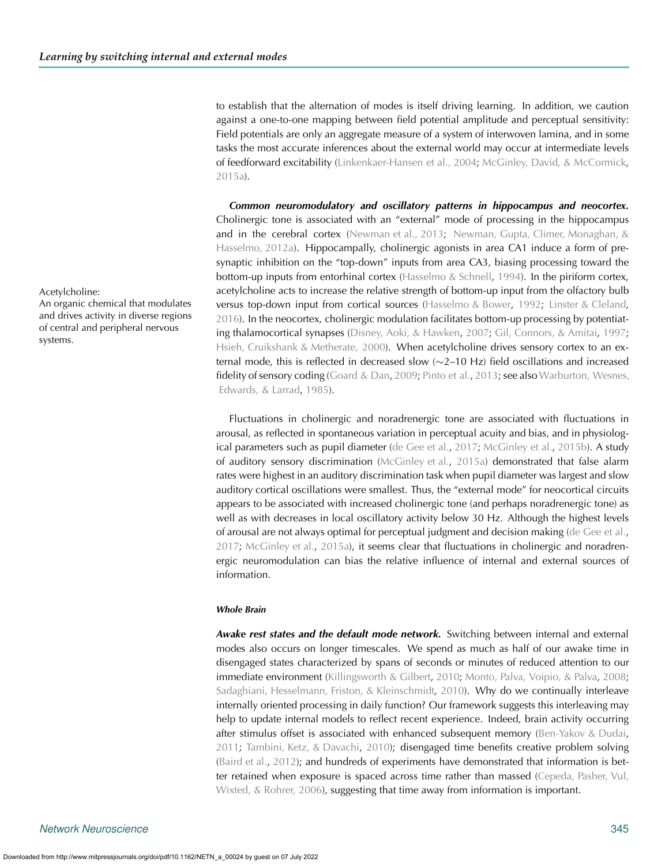to establish that the alternation of modes is itself driving learning. In addition, we caution against a one-to-one mapping between field potential amplitude and perceptual sensitivity: Field potentials are only an aggregate measure of a system of interwoven lamina, and in some tasks the most accurate inferences about the external world may occur at intermediate levels of feedforward excitability [\(Linkenkaer-Hansen et al.,](#page-15-17) [2004](#page-15-18); [McGinley, David, & McCormick](#page-15-19), [2015a\)](#page-15-19).

*Common neuromodulatory and oscillatory patterns in hippocampus and neocortex.* Cholinergic tone is associated with an "external" mode of processing in the hippocampus and in the cerebral cortex [\(Newman et al., 2013;](#page-16-10) [Newman, Gupta, Climer, Monaghan, &](#page-16-16) [Hasselmo, 2012a\)](#page-16-16). Hippocampally, cholinergic agonists in area CA1 induce a form of presynaptic inhibition on the "top-down" inputs from area CA3, biasing processing toward the bottom-up inputs from entorhinal cortex [\(Hasselmo & Schnell](#page-14-12), [1994\)](#page-14-12). In the piriform cortex, Acetylcholine: acetylcholine acts to increase the relative strength of bottom-up input from the olfactory bulb versus top-down input from cortical sources [\(Hasselmo & Bower,](#page-14-19) [1992](#page-14-19); [Linster & Cleland](#page-15-20), [2016\)](#page-15-20). In the neocortex, cholinergic modulation facilitates bottom-up processing by potentiating thalamocortical synapses [\(Disney, Aoki, & Hawken](#page-14-20), [2007;](#page-14-20) [Gil, Connors, & Amitai,](#page-14-21) [1997](#page-14-21); [Hsieh, Cruikshank & Metherate,](#page-15-21) [2000\)](#page-15-22). When acetylcholine drives sensory cortex to an external mode, this is reflected in decreased slow (∼2–10 Hz) field oscillations and increased fidelity of sensory coding [\(Goard & Dan,](#page-14-22) [2009](#page-14-22); [Pinto et al.,](#page-16-17) [2013](#page-16-17); see also [Warburton, Wesnes,](#page-17-3) [Edwards, & Larrad,](#page-17-3) [1985](#page-17-4)).

> Fluctuations in cholinergic and noradrenergic tone are associated with fluctuations in arousal, as reflected in spontaneous variation in perceptual acuity and bias, and in physiological parameters such as pupil diameter [\(de Gee et al.](#page-14-23), [2017;](#page-14-23) [McGinley et al.,](#page-15-0) [2015b](#page-15-0)). A study of auditory sensory discrimination [\(McGinley et al.](#page-15-19), [2015a\)](#page-15-19) demonstrated that false alarm rates were highest in an auditory discrimination task when pupil diameter was largest and slow auditory cortical oscillations were smallest. Thus, the "external mode" for neocortical circuits appears to be associated with increased cholinergic tone (and perhaps noradrenergic tone) as well as with decreases in local oscillatory activity below 30 Hz. Although the highest levels of arousal are not always optimal for perceptual judgment and decision making [\(de Gee et al.](#page-14-23), [2017;](#page-14-23) [McGinley et al.,](#page-15-19) [2015a\)](#page-15-19), it seems clear that fluctuations in cholinergic and noradrenergic neuromodulation can bias the relative influence of internal and external sources of information.

#### *Whole Brain*

*Awake rest states and the default mode network.* Switching between internal and external modes also occurs on longer timescales. We spend as much as half of our awake time in disengaged states characterized by spans of seconds or minutes of reduced attention to our immediate environment [\(Killingsworth & Gilbert](#page-15-23), [2010;](#page-15-23) [Monto, Palva, Voipio, & Palva,](#page-16-18) [2008](#page-16-18); [Sadaghiani, Hesselmann, Friston, & Kleinschmidt,](#page-16-19) [2010\)](#page-16-19). Why do we continually interleave internally oriented processing in daily function? Our framework suggests this interleaving may help to update internal models to reflect recent experience. Indeed, brain activity occurring after stimulus offset is associated with enhanced subsequent memory [\(Ben-Yakov & Dudai](#page-13-6), [2011;](#page-13-6) [Tambini, Ketz, & Davachi](#page-17-5), [2010\)](#page-17-5); disengaged time benefits creative problem solving [\(Baird et al.,](#page-13-7) [2012](#page-13-7)); and hundreds of experiments have demonstrated that information is better retained when exposure is spaced across time rather than massed [\(Cepeda, Pasher, Vul,](#page-14-24) [Wixted, & Rohrer,](#page-14-24) [2006\)](#page-14-25), suggesting that time away from information is important.

An organic chemical that modulates and drives activity in diverse regions of central and peripheral nervous systems.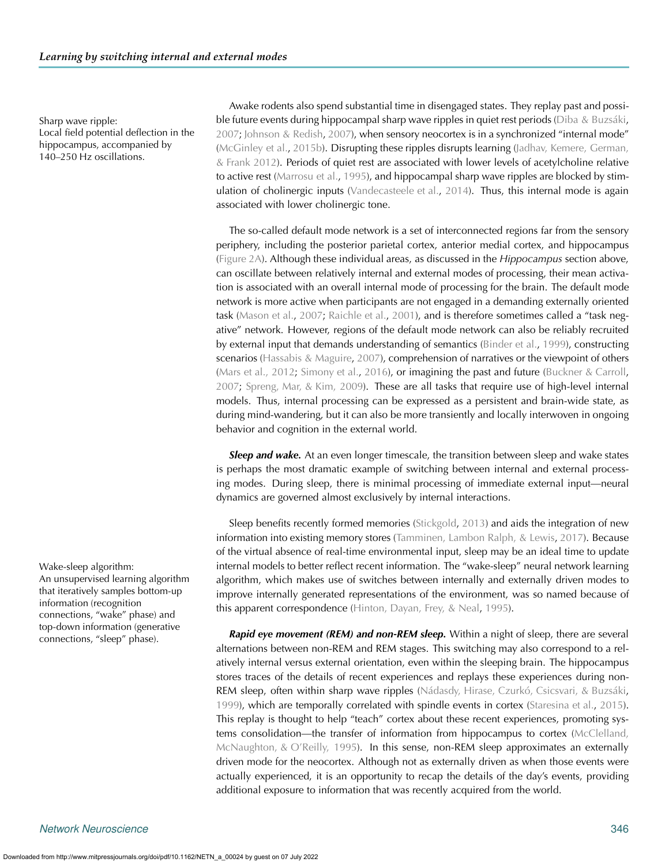Local field potential deflection in the hippocampus, accompanied by 140–250 Hz oscillations.

Awake rodents also spend substantial time in disengaged states. They replay past and possi-Sharp wave ripple: ble future events during hippocampal sharp wave ripples in quiet rest periods [\(Diba & Buzsáki](#page-14-26), [2007;](#page-14-26) [Johnson & Redish,](#page-15-24) [2007\)](#page-15-24), when sensory neocortex is in a synchronized "internal mode" [\(McGinley et al.,](#page-15-0) [2015b\)](#page-15-0). Disrupting these ripples disrupts learning [\(Jadhav, Kemere, German,](#page-15-25) [& Frank](#page-15-25) [2012](#page-15-26)). Periods of quiet rest are associated with lower levels of acetylcholine relative to active rest [\(Marrosu et al.,](#page-15-27) [1995\)](#page-15-27), and hippocampal sharp wave ripples are blocked by stimulation of cholinergic inputs [\(Vandecasteele et al.,](#page-17-6) [2014\)](#page-17-6). Thus, this internal mode is again associated with lower cholinergic tone.

> The so-called default mode network is a set of interconnected regions far from the sensory periphery, including the posterior parietal cortex, anterior medial cortex, and hippocampus [\(Figure 2A\)](#page-2-0). Although these individual areas, as discussed in the *Hippocampus* section above, can oscillate between relatively internal and external modes of processing, their mean activation is associated with an overall internal mode of processing for the brain. The default mode network is more active when participants are not engaged in a demanding externally oriented task [\(Mason et al.,](#page-15-28) [2007](#page-15-28); [Raichle et al.,](#page-16-20) [2001](#page-16-20)), and is therefore sometimes called a "task negative" network. However, regions of the default mode network can also be reliably recruited by external input that demands understanding of semantics [\(Binder et al.,](#page-13-8) [1999](#page-13-8)), constructing scenarios [\(Hassabis & Maguire](#page-14-27), [2007](#page-14-27)), comprehension of narratives or the viewpoint of others [\(Mars et al.,](#page-15-29) [2012;](#page-15-30) [Simony et al.](#page-16-21), [2016\)](#page-16-21), or imagining the past and future [\(Buckner & Carroll](#page-14-28), [2007;](#page-14-28) [Spreng, Mar, & Kim,](#page-16-22) [2009](#page-16-23)). These are all tasks that require use of high-level internal models. Thus, internal processing can be expressed as a persistent and brain-wide state, as during mind-wandering, but it can also be more transiently and locally interwoven in ongoing behavior and cognition in the external world.

> *Sleep and wake.* At an even longer timescale, the transition between sleep and wake states is perhaps the most dramatic example of switching between internal and external processing modes. During sleep, there is minimal processing of immediate external input—neural dynamics are governed almost exclusively by internal interactions.

Sleep benefits recently formed memories [\(Stickgold,](#page-16-24) [2013](#page-16-24)) and aids the integration of new information into existing memory stores [\(Tamminen, Lambon Ralph, & Lewis,](#page-17-7) [2017\)](#page-17-7). Because of the virtual absence of real-time environmental input, sleep may be an ideal time to update Wake-sleep algorithm: internal models to better reflect recent information. The "wake-sleep" neural network learning algorithm, which makes use of switches between internally and externally driven modes to improve internally generated representations of the environment, was so named because of this apparent correspondence [\(Hinton, Dayan, Frey, & Neal](#page-15-31), [1995](#page-15-31)).

> *Rapid eye movement (REM) and non-REM sleep.* Within a night of sleep, there are several alternations between non-REM and REM stages. This switching may also correspond to a relatively internal versus external orientation, even within the sleeping brain. The hippocampus stores traces of the details of recent experiences and replays these experiences during non-REM sleep, often within sharp wave ripples [\(Nádasdy, Hirase, Czurkó, Csicsvari, & Buzsáki](#page-16-25), [1999\)](#page-16-25), which are temporally correlated with spindle events in cortex [\(Staresina et al.,](#page-16-26) [2015\)](#page-16-26). This replay is thought to help "teach" cortex about these recent experiences, promoting systems consolidation—the transfer of information from hippocampus to cortex [\(McClelland,](#page-15-32) [McNaughton, & O'Reilly,](#page-15-32) [1995\)](#page-15-33). In this sense, non-REM sleep approximates an externally driven mode for the neocortex. Although not as externally driven as when those events were actually experienced, it is an opportunity to recap the details of the day's events, providing additional exposure to information that was recently acquired from the world.

An unsupervised learning algorithm that iteratively samples bottom-up information (recognition connections, "wake" phase) and top-down information (generative connections, "sleep" phase).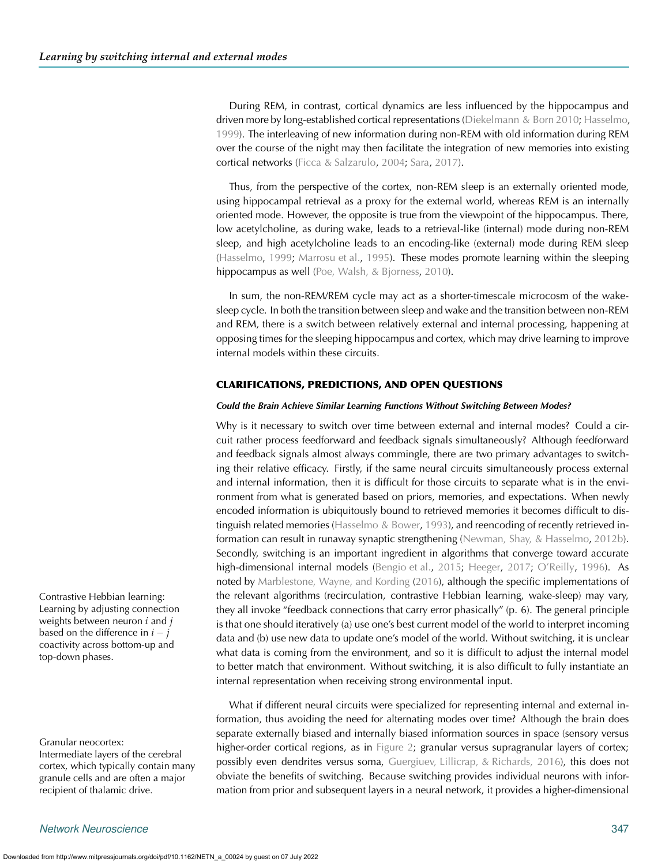During REM, in contrast, cortical dynamics are less influenced by the hippocampus and driven more by long-established cortical representations [\(Diekelmann & Born](#page-14-29) [2010;](#page-14-30) [Hasselmo,](#page-14-31) [1999\)](#page-14-32). The interleaving of new information during non-REM with old information during REM over the course of the night may then facilitate the integration of new memories into existing cortical networks [\(Ficca & Salzarulo](#page-14-33), [2004;](#page-14-33) [Sara](#page-16-27), [2017\)](#page-16-27).

Thus, from the perspective of the cortex, non-REM sleep is an externally oriented mode, using hippocampal retrieval as a proxy for the external world, whereas REM is an internally oriented mode. However, the opposite is true from the viewpoint of the hippocampus. There, low acetylcholine, as during wake, leads to a retrieval-like (internal) mode during non-REM sleep, and high acetylcholine leads to an encoding-like (external) mode during REM sleep [\(Hasselmo](#page-14-32), [1999](#page-14-32); [Marrosu et al.,](#page-15-27) [1995\)](#page-15-27). These modes promote learning within the sleeping hippocampus as well [\(Poe, Walsh, & Bjorness,](#page-16-28) [2010](#page-16-28)).

In sum, the non-REM/REM cycle may act as a shorter-timescale microcosm of the wakesleep cycle. In both the transition between sleep and wake and the transition between non-REM and REM, there is a switch between relatively external and internal processing, happening at opposing times for the sleeping hippocampus and cortex, which may drive learning to improve internal models within these circuits.

#### **CLARIFICATIONS, PREDICTIONS, AND OPEN QUESTIONS**

#### *Could the Brain Achieve Similar Learning Functions Without Switching Between Modes?*

Why is it necessary to switch over time between external and internal modes? Could a circuit rather process feedforward and feedback signals simultaneously? Although feedforward and feedback signals almost always commingle, there are two primary advantages to switching their relative efficacy. Firstly, if the same neural circuits simultaneously process external and internal information, then it is difficult for those circuits to separate what is in the environment from what is generated based on priors, memories, and expectations. When newly encoded information is ubiquitously bound to retrieved memories it becomes difficult to dis-tinguish related memories [\(Hasselmo & Bower](#page-14-34), [1993](#page-14-34)), and reencoding of recently retrieved information can result in runaway synaptic strengthening [\(Newman, Shay, & Hasselmo](#page-16-29), [2012b\)](#page-16-29). Secondly, switching is an important ingredient in algorithms that converge toward accurate high-dimensional internal models [\(Bengio et al.,](#page-13-0) [2015](#page-13-0); [Heeger](#page-14-35), [2017;](#page-14-35) [O'Reilly](#page-16-4), [1996\)](#page-16-4). As noted by [Marblestone, Wayne, and Kording](#page-15-34) [\(2016\)](#page-15-35), although the specific implementations of Contrastive Hebbian learning: the relevant algorithms (recirculation, contrastive Hebbian learning, wake-sleep) may vary, they all invoke "feedback connections that carry error phasically" (p. 6). The general principle is that one should iteratively (a) use one's best current model of the world to interpret incoming data and (b) use new data to update one's model of the world. Without switching, it is unclear what data is coming from the environment, and so it is difficult to adjust the internal model to better match that environment. Without switching, it is also difficult to fully instantiate an internal representation when receiving strong environmental input.

What if different neural circuits were specialized for representing internal and external information, thus avoiding the need for alternating modes over time? Although the brain does separate externally biased and internally biased information sources in space (sensory versus Granular neocortex:<br>higher-order cortical regions, as in [Figure 2;](#page-2-0) granular versus supragranular layers of cortex; possibly even dendrites versus soma, [Guergiuev, Lillicrap, & Richards,](#page-14-36) [2016\)](#page-14-37), this does not obviate the benefits of switching. Because switching provides individual neurons with information from prior and subsequent layers in a neural network, it provides a higher-dimensional

Learning by adjusting connection weights between neuron *i* and *j* based on the difference in  $i - j$ coactivity across bottom-up and top-down phases.

Intermediate layers of the cerebral cortex, which typically contain many granule cells and are often a major recipient of thalamic drive.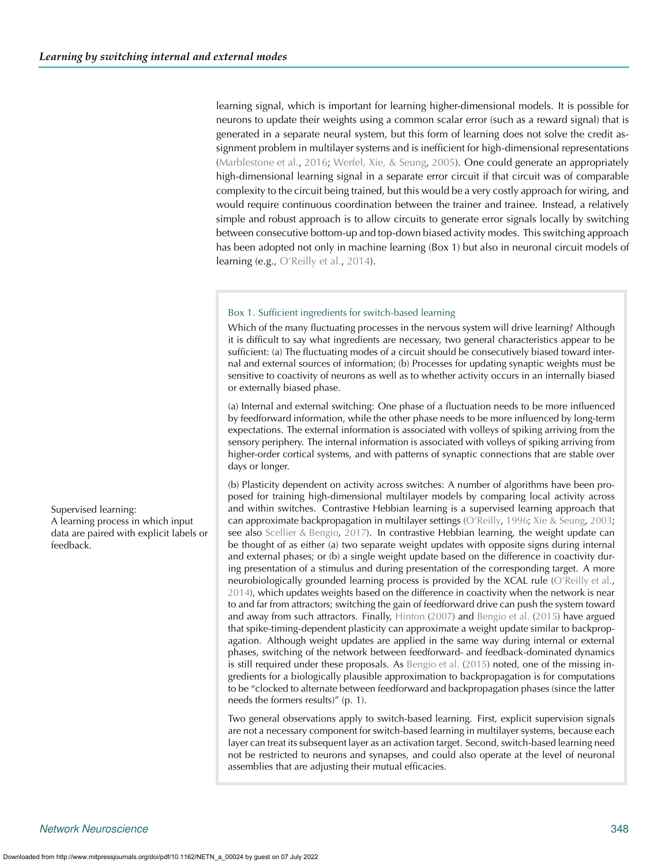learning signal, which is important for learning higher-dimensional models. It is possible for neurons to update their weights using a common scalar error (such as a reward signal) that is generated in a separate neural system, but this form of learning does not solve the credit assignment problem in multilayer systems and is inefficient for high-dimensional representations [\(Marblestone et al.](#page-15-35), [2016](#page-15-35); [Werfel, Xie, & Seung](#page-17-8), [2005\)](#page-17-8). One could generate an appropriately high-dimensional learning signal in a separate error circuit if that circuit was of comparable complexity to the circuit being trained, but this would be a very costly approach for wiring, and would require continuous coordination between the trainer and trainee. Instead, a relatively simple and robust approach is to allow circuits to generate error signals locally by switching between consecutive bottom-up and top-down biased activity modes. This switching approach has been adopted not only in machine learning (Box 1) but also in neuronal circuit models of learning (e.g., [O'Reilly et al.](#page-16-15), [2014\)](#page-16-15).

#### Box 1. Sufficient ingredients for switch-based learning

Which of the many fluctuating processes in the nervous system will drive learning? Although it is difficult to say what ingredients are necessary, two general characteristics appear to be sufficient: (a) The fluctuating modes of a circuit should be consecutively biased toward internal and external sources of information; (b) Processes for updating synaptic weights must be sensitive to coactivity of neurons as well as to whether activity occurs in an internally biased or externally biased phase.

(a) Internal and external switching: One phase of a fluctuation needs to be more influenced by feedforward information, while the other phase needs to be more influenced by long-term expectations. The external information is associated with volleys of spiking arriving from the sensory periphery. The internal information is associated with volleys of spiking arriving from higher-order cortical systems, and with patterns of synaptic connections that are stable over days or longer.

(b) Plasticity dependent on activity across switches: A number of algorithms have been proposed for training high-dimensional multilayer models by comparing local activity across Supervised learning: and within switches. Contrastive Hebbian learning is a supervised learning approach that can approximate backpropagation in multilayer settings [\(O'Reilly,](#page-16-4) [1996;](#page-16-4) [Xie & Seung,](#page-17-9) [2003;](#page-17-9) see also [Scellier & Bengio,](#page-16-30) [2017\)](#page-16-30). In contrastive Hebbian learning, the weight update can be thought of as either (a) two separate weight updates with opposite signs during internal and external phases; or (b) a single weight update based on the difference in coactivity during presentation of a stimulus and during presentation of the corresponding target. A more neurobiologically grounded learning process is provided by the XCAL rule [\(O'Reilly et al.](#page-16-15), [2014\)](#page-16-15), which updates weights based on the difference in coactivity when the network is near to and far from attractors; switching the gain of feedforward drive can push the system toward and away from such attractors. Finally, [Hinton](#page-15-36) [\(2007](#page-15-36)) and [Bengio et al.](#page-13-0) [\(2015](#page-13-0)) have argued that spike-timing-dependent plasticity can approximate a weight update similar to backpropagation. Although weight updates are applied in the same way during internal or external phases, switching of the network between feedforward- and feedback-dominated dynamics is still required under these proposals. As [Bengio et al.](#page-13-0) [\(2015\)](#page-13-0) noted, one of the missing ingredients for a biologically plausible approximation to backpropagation is for computations to be "clocked to alternate between feedforward and backpropagation phases (since the latter needs the formers results)" (p. 1).

> Two general observations apply to switch-based learning. First, explicit supervision signals are not a necessary component for switch-based learning in multilayer systems, because each layer can treat its subsequent layer as an activation target. Second, switch-based learning need not be restricted to neurons and synapses, and could also operate at the level of neuronal assemblies that are adjusting their mutual efficacies.

A learning process in which input data are paired with explicit labels or feedback.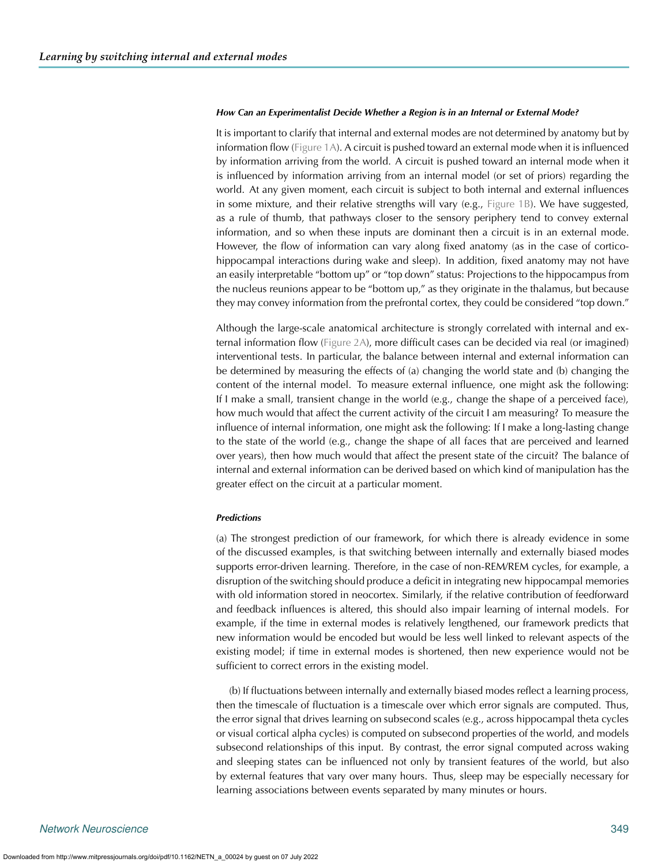#### *How Can an Experimentalist Decide Whether a Region is in an Internal or External Mode?*

It is important to clarify that internal and external modes are not determined by anatomy but by information flow [\(Figure 1A\)](#page-1-0). A circuit is pushed toward an external mode when it is influenced by information arriving from the world. A circuit is pushed toward an internal mode when it is influenced by information arriving from an internal model (or set of priors) regarding the world. At any given moment, each circuit is subject to both internal and external influences in some mixture, and their relative strengths will vary (e.g., [Figure 1B\)](#page-1-0). We have suggested, as a rule of thumb, that pathways closer to the sensory periphery tend to convey external information, and so when these inputs are dominant then a circuit is in an external mode. However, the flow of information can vary along fixed anatomy (as in the case of corticohippocampal interactions during wake and sleep). In addition, fixed anatomy may not have an easily interpretable "bottom up" or "top down" status: Projections to the hippocampus from the nucleus reunions appear to be "bottom up," as they originate in the thalamus, but because they may convey information from the prefrontal cortex, they could be considered "top down."

Although the large-scale anatomical architecture is strongly correlated with internal and external information flow [\(Figure 2A\)](#page-2-0), more difficult cases can be decided via real (or imagined) interventional tests. In particular, the balance between internal and external information can be determined by measuring the effects of (a) changing the world state and (b) changing the content of the internal model. To measure external influence, one might ask the following: If I make a small, transient change in the world (e.g., change the shape of a perceived face), how much would that affect the current activity of the circuit I am measuring? To measure the influence of internal information, one might ask the following: If I make a long-lasting change to the state of the world (e.g., change the shape of all faces that are perceived and learned over years), then how much would that affect the present state of the circuit? The balance of internal and external information can be derived based on which kind of manipulation has the greater effect on the circuit at a particular moment.

#### *Predictions*

(a) The strongest prediction of our framework, for which there is already evidence in some of the discussed examples, is that switching between internally and externally biased modes supports error-driven learning. Therefore, in the case of non-REM/REM cycles, for example, a disruption of the switching should produce a deficit in integrating new hippocampal memories with old information stored in neocortex. Similarly, if the relative contribution of feedforward and feedback influences is altered, this should also impair learning of internal models. For example, if the time in external modes is relatively lengthened, our framework predicts that new information would be encoded but would be less well linked to relevant aspects of the existing model; if time in external modes is shortened, then new experience would not be sufficient to correct errors in the existing model.

(b) If fluctuations between internally and externally biased modes reflect a learning process, then the timescale of fluctuation is a timescale over which error signals are computed. Thus, the error signal that drives learning on subsecond scales (e.g., across hippocampal theta cycles or visual cortical alpha cycles) is computed on subsecond properties of the world, and models subsecond relationships of this input. By contrast, the error signal computed across waking and sleeping states can be influenced not only by transient features of the world, but also by external features that vary over many hours. Thus, sleep may be especially necessary for learning associations between events separated by many minutes or hours.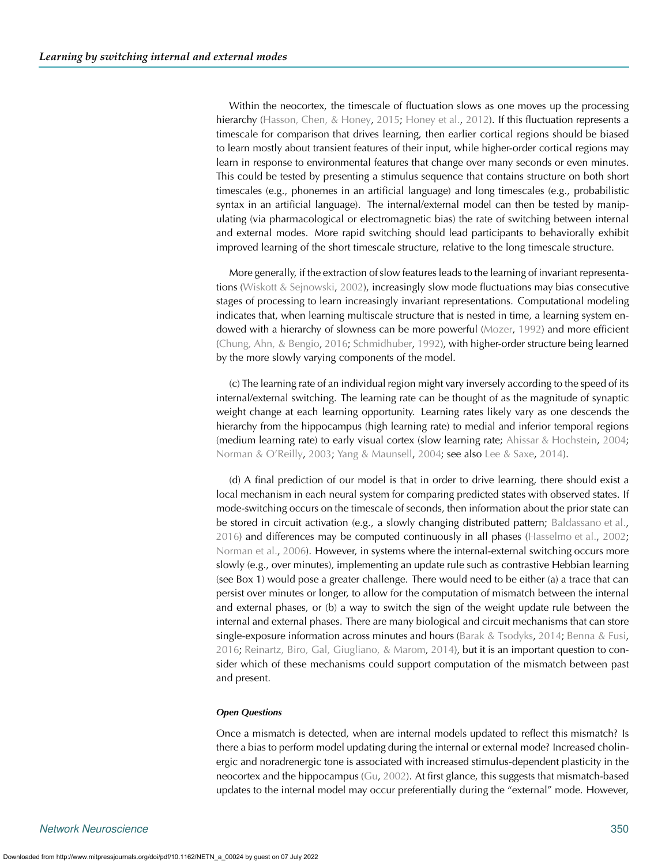Within the neocortex, the timescale of fluctuation slows as one moves up the processing hierarchy [\(Hasson, Chen, & Honey,](#page-14-38) [2015](#page-14-38); [Honey et al.](#page-15-14), [2012\)](#page-15-14). If this fluctuation represents a timescale for comparison that drives learning, then earlier cortical regions should be biased to learn mostly about transient features of their input, while higher-order cortical regions may learn in response to environmental features that change over many seconds or even minutes. This could be tested by presenting a stimulus sequence that contains structure on both short timescales (e.g., phonemes in an artificial language) and long timescales (e.g., probabilistic syntax in an artificial language). The internal/external model can then be tested by manipulating (via pharmacological or electromagnetic bias) the rate of switching between internal and external modes. More rapid switching should lead participants to behaviorally exhibit improved learning of the short timescale structure, relative to the long timescale structure.

More generally, if the extraction of slow features leads to the learning of invariant representations [\(Wiskott & Sejnowski](#page-17-10), [2002\)](#page-17-10), increasingly slow mode fluctuations may bias consecutive stages of processing to learn increasingly invariant representations. Computational modeling indicates that, when learning multiscale structure that is nested in time, a learning system endowed with a hierarchy of slowness can be more powerful [\(Mozer](#page-16-31), [1992\)](#page-16-31) and more efficient [\(Chung, Ahn, & Bengio](#page-14-39), [2016](#page-14-39); [Schmidhuber](#page-16-32), [1992](#page-16-32)), with higher-order structure being learned by the more slowly varying components of the model.

(c) The learning rate of an individual region might vary inversely according to the speed of its internal/external switching. The learning rate can be thought of as the magnitude of synaptic weight change at each learning opportunity. Learning rates likely vary as one descends the hierarchy from the hippocampus (high learning rate) to medial and inferior temporal regions (medium learning rate) to early visual cortex (slow learning rate; [Ahissar & Hochstein,](#page-13-9) [2004](#page-13-9); [Norman & O'Reilly](#page-16-33), [2003;](#page-16-33) [Yang & Maunsell,](#page-17-11) [2004;](#page-17-11) see also [Lee & Saxe](#page-15-37), [2014](#page-15-37)).

(d) A final prediction of our model is that in order to drive learning, there should exist a local mechanism in each neural system for comparing predicted states with observed states. If mode-switching occurs on the timescale of seconds, then information about the prior state can be stored in circuit activation (e.g., a slowly changing distributed pattern; [Baldassano et al.](#page-13-10), [2016\)](#page-13-10) and differences may be computed continuously in all phases [\(Hasselmo et al.](#page-14-1), [2002](#page-14-1); [Norman et al.](#page-16-8), [2006](#page-16-8)). However, in systems where the internal-external switching occurs more slowly (e.g., over minutes), implementing an update rule such as contrastive Hebbian learning (see Box 1) would pose a greater challenge. There would need to be either (a) a trace that can persist over minutes or longer, to allow for the computation of mismatch between the internal and external phases, or (b) a way to switch the sign of the weight update rule between the internal and external phases. There are many biological and circuit mechanisms that can store single-exposure information across minutes and hours [\(Barak & Tsodyks](#page-13-11), [2014](#page-13-11); [Benna & Fusi](#page-13-12), [2016;](#page-13-12) [Reinartz, Biro, Gal, Giugliano, & Marom,](#page-16-34) [2014\)](#page-16-34), but it is an important question to consider which of these mechanisms could support computation of the mismatch between past and present.

#### *Open Questions*

Once a mismatch is detected, when are internal models updated to reflect this mismatch? Is there a bias to perform model updating during the internal or external mode? Increased cholinergic and noradrenergic tone is associated with increased stimulus-dependent plasticity in the neocortex and the hippocampus [\(Gu,](#page-14-40) [2002\)](#page-14-40). At first glance, this suggests that mismatch-based updates to the internal model may occur preferentially during the "external" mode. However,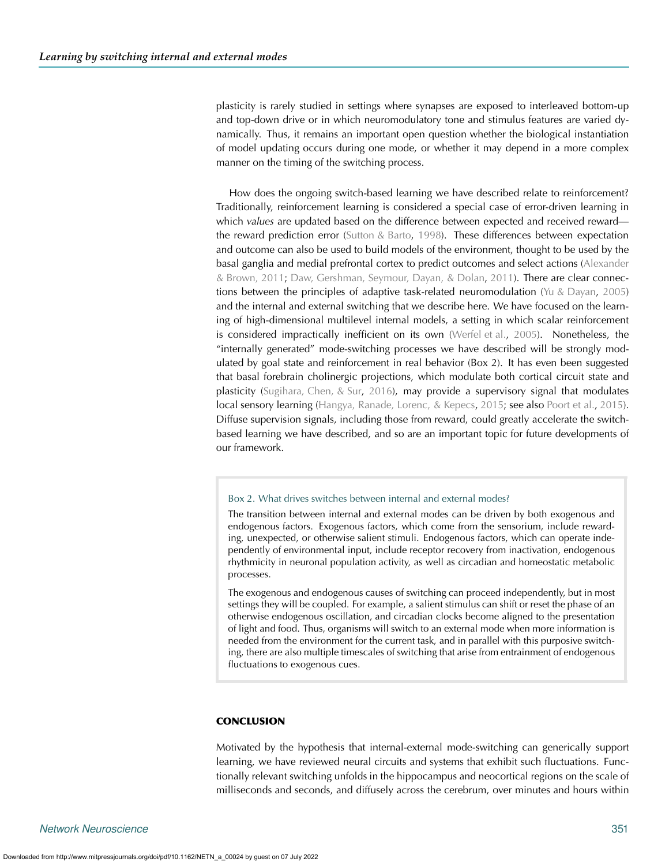plasticity is rarely studied in settings where synapses are exposed to interleaved bottom-up and top-down drive or in which neuromodulatory tone and stimulus features are varied dynamically. Thus, it remains an important open question whether the biological instantiation of model updating occurs during one mode, or whether it may depend in a more complex manner on the timing of the switching process.

How does the ongoing switch-based learning we have described relate to reinforcement? Traditionally, reinforcement learning is considered a special case of error-driven learning in which *values* are updated based on the difference between expected and received reward the reward prediction error [\(Sutton & Barto](#page-16-35), [1998\)](#page-16-35). These differences between expectation and outcome can also be used to build models of the environment, thought to be used by the basal ganglia and medial prefrontal cortex to predict outcomes and select actions (Alexander & Brown, [2011;](#page-13-13) [Daw, Gershman, Seymour, Dayan, & Dolan,](#page-14-41) [2011](#page-14-41)). There are clear connections between the principles of adaptive task-related neuromodulation [\(Yu & Dayan,](#page-17-12) [2005](#page-17-12)) and the internal and external switching that we describe here. We have focused on the learning of high-dimensional multilevel internal models, a setting in which scalar reinforcement is considered impractically inefficient on its own [\(Werfel et al.](#page-17-8), [2005\)](#page-17-8). Nonetheless, the "internally generated" mode-switching processes we have described will be strongly modulated by goal state and reinforcement in real behavior (Box 2). It has even been suggested that basal forebrain cholinergic projections, which modulate both cortical circuit state and plasticity [\(Sugihara, Chen, & Sur,](#page-16-36) [2016](#page-16-36)), may provide a supervisory signal that modulates local sensory learning [\(Hangya, Ranade, Lorenc, & Kepecs](#page-14-42), [2015](#page-14-42); see also [Poort et al.](#page-16-37), [2015\)](#page-16-37). Diffuse supervision signals, including those from reward, could greatly accelerate the switchbased learning we have described, and so are an important topic for future developments of our framework.

#### Box 2. What drives switches between internal and external modes?

The transition between internal and external modes can be driven by both exogenous and endogenous factors. Exogenous factors, which come from the sensorium, include rewarding, unexpected, or otherwise salient stimuli. Endogenous factors, which can operate independently of environmental input, include receptor recovery from inactivation, endogenous rhythmicity in neuronal population activity, as well as circadian and homeostatic metabolic processes.

The exogenous and endogenous causes of switching can proceed independently, but in most settings they will be coupled. For example, a salient stimulus can shift or reset the phase of an otherwise endogenous oscillation, and circadian clocks become aligned to the presentation of light and food. Thus, organisms will switch to an external mode when more information is needed from the environment for the current task, and in parallel with this purposive switching, there are also multiple timescales of switching that arise from entrainment of endogenous fluctuations to exogenous cues.

#### **CONCLUSION**

Motivated by the hypothesis that internal-external mode-switching can generically support learning, we have reviewed neural circuits and systems that exhibit such fluctuations. Functionally relevant switching unfolds in the hippocampus and neocortical regions on the scale of milliseconds and seconds, and diffusely across the cerebrum, over minutes and hours within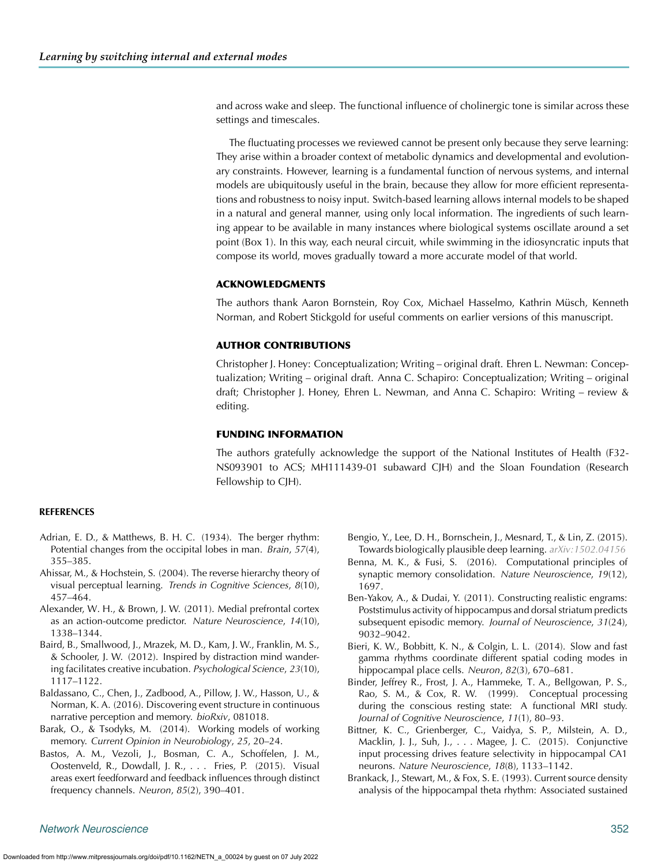and across wake and sleep. The functional influence of cholinergic tone is similar across these settings and timescales.

The fluctuating processes we reviewed cannot be present only because they serve learning: They arise within a broader context of metabolic dynamics and developmental and evolutionary constraints. However, learning is a fundamental function of nervous systems, and internal models are ubiquitously useful in the brain, because they allow for more efficient representations and robustness to noisy input. Switch-based learning allows internal models to be shaped in a natural and general manner, using only local information. The ingredients of such learning appear to be available in many instances where biological systems oscillate around a set point (Box 1). In this way, each neural circuit, while swimming in the idiosyncratic inputs that compose its world, moves gradually toward a more accurate model of that world.

#### **ACKNOWLEDGMENTS**

The authors thank Aaron Bornstein, Roy Cox, Michael Hasselmo, Kathrin Müsch, Kenneth Norman, and Robert Stickgold for useful comments on earlier versions of this manuscript.

#### **AUTHOR CONTRIBUTIONS**

Christopher J. Honey: Conceptualization; Writing – original draft. Ehren L. Newman: Conceptualization; Writing – original draft. Anna C. Schapiro: Conceptualization; Writing – original draft; Christopher J. Honey, Ehren L. Newman, and Anna C. Schapiro: Writing – review & editing.

#### **FUNDING INFORMATION**

The authors gratefully acknowledge the support of the National Institutes of Health (F32- NS093901 to ACS; MH111439-01 subaward CJH) and the Sloan Foundation (Research Fellowship to CJH).

#### **REFERENCES**

- <span id="page-13-4"></span>Adrian, E. D., & Matthews, B. H. C. (1934). The berger rhythm: Potential changes from the occipital lobes in man. *Brain*, *57*(4), 355–385.
- <span id="page-13-9"></span>Ahissar, M., & Hochstein, S. (2004). The reverse hierarchy theory of visual perceptual learning. *Trends in Cognitive Sciences*, *8*(10), 457–464.
- <span id="page-13-13"></span>Alexander, W. H., & Brown, J. W. (2011). Medial prefrontal cortex as an action-outcome predictor. *Nature Neuroscience*, *14*(10), 1338–1344.
- <span id="page-13-7"></span>Baird, B., Smallwood, J., Mrazek, M. D., Kam, J. W., Franklin, M. S., & Schooler, J. W. (2012). Inspired by distraction mind wandering facilitates creative incubation. *Psychological Science*, *23*(10), 1117–1122.
- <span id="page-13-10"></span>Baldassano, C., Chen, J., Zadbood, A., Pillow, J. W., Hasson, U., & Norman, K. A. (2016). Discovering event structure in continuous narrative perception and memory. *bioRxiv*, 081018.
- <span id="page-13-11"></span>Barak, O., & Tsodyks, M. (2014). Working models of working memory. *Current Opinion in Neurobiology*, *25*, 20–24.
- <span id="page-13-5"></span>Bastos, A. M., Vezoli, J., Bosman, C. A., Schoffelen, J. M., Oostenveld, R., Dowdall, J. R., . . . Fries, P. (2015). Visual areas exert feedforward and feedback influences through distinct frequency channels. *Neuron*, *85*(2), 390–401.
- <span id="page-13-0"></span>Bengio, Y., Lee, D. H., Bornschein, J., Mesnard, T., & Lin, Z. (2015). Towards biologically plausible deep learning. *[arXiv:1502.04156](https://dx.doi.org/arXiv:1502.04156)*
- <span id="page-13-12"></span>Benna, M. K., & Fusi, S. (2016). Computational principles of synaptic memory consolidation. *Nature Neuroscience*, *19*(12), 1697.
- <span id="page-13-6"></span>Ben-Yakov, A., & Dudai, Y. (2011). Constructing realistic engrams: Poststimulus activity of hippocampus and dorsal striatum predicts subsequent episodic memory. *Journal of Neuroscience*, *31*(24), 9032–9042.
- <span id="page-13-2"></span>Bieri, K. W., Bobbitt, K. N., & Colgin, L. L. (2014). Slow and fast gamma rhythms coordinate different spatial coding modes in hippocampal place cells. *Neuron*, *82*(3), 670–681.
- <span id="page-13-8"></span>Binder, Jeffrey R., Frost, J. A., Hammeke, T. A., Bellgowan, P. S., Rao, S. M., & Cox, R. W. (1999). Conceptual processing during the conscious resting state: A functional MRI study. *Journal of Cognitive Neuroscience*, *11*(1), 80–93.
- <span id="page-13-3"></span>Bittner, K. C., Grienberger, C., Vaidya, S. P., Milstein, A. D., Macklin, J. J., Suh, J., . . . Magee, J. C. (2015). Conjunctive input processing drives feature selectivity in hippocampal CA1 neurons. *Nature Neuroscience*, *18*(8), 1133–1142.
- <span id="page-13-1"></span>Brankack, J., Stewart, M., & Fox, S. E. (1993). Current source density analysis of the hippocampal theta rhythm: Associated sustained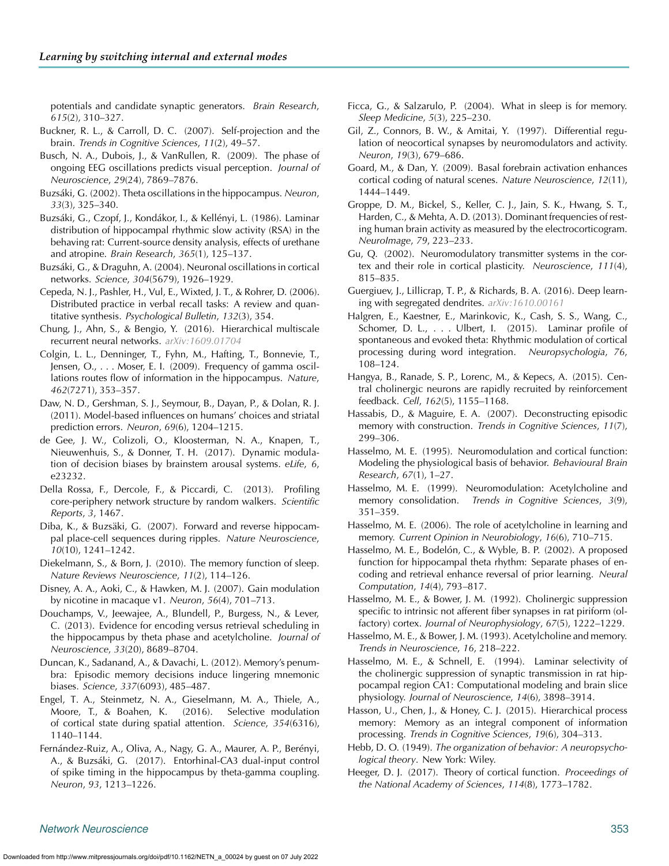potentials and candidate synaptic generators. *Brain Research*, *615*(2), 310–327.

- <span id="page-14-28"></span>Buckner, R. L., & Carroll, D. C. (2007). Self-projection and the brain. *Trends in Cognitive Sciences*, *11*(2), 49–57.
- <span id="page-14-14"></span>Busch, N. A., Dubois, J., & VanRullen, R. (2009). The phase of ongoing EEG oscillations predicts visual perception. *Journal of Neuroscience*, *29*(24), 7869–7876.
- <span id="page-14-10"></span>Buzsáki, G. (2002). Theta oscillations in the hippocampus. *Neuron*, *33*(3), 325–340.
- <span id="page-14-8"></span>Buzsáki, G., Czopf, J., Kondákor, I., & Kellényi, L. (1986). Laminar distribution of hippocampal rhythmic slow activity (RSA) in the behaving rat: Current-source density analysis, effects of urethane and atropine. *Brain Research*, *365*(1), 125–137.
- Buzsáki, G., & Draguhn, A. (2004). Neuronal oscillations in cortical networks. *Science*, *304*(5679), 1926–1929.
- <span id="page-14-25"></span>Cepeda, N. J., Pashler, H., Vul, E., Wixted, J. T., & Rohrer, D. (2006). Distributed practice in verbal recall tasks: A review and quantitative synthesis. *Psychological Bulletin*, *132*(3), 354.
- <span id="page-14-39"></span>Chung, J., Ahn, S., & Bengio, Y. (2016). Hierarchical multiscale recurrent neural networks. *[arXiv:1609.01704](https://dx.doi.org/arXiv:1609.01704)*
- <span id="page-14-11"></span>Colgin, L. L., Denninger, T., Fyhn, M., Hafting, T., Bonnevie, T., Jensen, O., . . . Moser, E. I. (2009). Frequency of gamma oscillations routes flow of information in the hippocampus. *Nature*, *462*(7271), 353–357.
- <span id="page-14-41"></span>Daw, N. D., Gershman, S. J., Seymour, B., Dayan, P., & Dolan, R. J. (2011). Model-based influences on humans' choices and striatal prediction errors. *Neuron*, *69*(6), 1204–1215.
- <span id="page-14-23"></span>de Gee, J. W., Colizoli, O., Kloosterman, N. A., Knapen, T., Nieuwenhuis, S., & Donner, T. H. (2017). Dynamic modulation of decision biases by brainstem arousal systems. *eLife*, *6*, e23232.
- <span id="page-14-5"></span>Della Rossa, F., Dercole, F., & Piccardi, C. (2013). Profiling core-periphery network structure by random walkers. *Scientific Reports*, *3*, 1467.
- <span id="page-14-26"></span>Diba, K., & Buzsäki, G. (2007). Forward and reverse hippocampal place-cell sequences during ripples. *Nature Neuroscience*, *10*(10), 1241–1242.
- <span id="page-14-30"></span>Diekelmann, S., & Born, J. (2010). The memory function of sleep. *Nature Reviews Neuroscience*, *11*(2), 114–126.
- <span id="page-14-20"></span>Disney, A. A., Aoki, C., & Hawken, M. J. (2007). Gain modulation by nicotine in macaque v1. *Neuron*, *56*(4), 701–713.
- <span id="page-14-2"></span>Douchamps, V., Jeewajee, A., Blundell, P., Burgess, N., & Lever, C. (2013). Evidence for encoding versus retrieval scheduling in the hippocampus by theta phase and acetylcholine. *Journal of Neuroscience*, *33*(20), 8689–8704.
- <span id="page-14-4"></span>Duncan, K., Sadanand, A., & Davachi, L. (2012). Memory's penumbra: Episodic memory decisions induce lingering mnemonic biases. *Science*, *337*(6093), 485–487.
- <span id="page-14-18"></span>Engel, T. A., Steinmetz, N. A., Gieselmann, M. A., Thiele, A., Moore, T., & Boahen, K. (2016). Selective modulation of cortical state during spatial attention. *Science*, *354*(6316), 1140–1144.
- <span id="page-14-9"></span>Fernández-Ruiz, A., Oliva, A., Nagy, G. A., Maurer, A. P., Berényi, A., & Buzsáki, G. (2017). Entorhinal-CA3 dual-input control of spike timing in the hippocampus by theta-gamma coupling. *Neuron*, *93*, 1213–1226.
- <span id="page-14-33"></span>Ficca, G., & Salzarulo, P. (2004). What in sleep is for memory. *Sleep Medicine*, *5*(3), 225–230.
- <span id="page-14-21"></span>Gil, Z., Connors, B. W., & Amitai, Y. (1997). Differential regulation of neocortical synapses by neuromodulators and activity. *Neuron*, *19*(3), 679–686.
- <span id="page-14-22"></span>Goard, M., & Dan, Y. (2009). Basal forebrain activation enhances cortical coding of natural scenes. *Nature Neuroscience*, *12*(11), 1444–1449.
- <span id="page-14-16"></span><span id="page-14-7"></span>Groppe, D. M., Bickel, S., Keller, C. J., Jain, S. K., Hwang, S. T., Harden, C., & Mehta, A. D. (2013). Dominant frequencies of resting human brain activity as measured by the electrocorticogram. *NeuroImage*, *79*, 223–233.
- <span id="page-14-40"></span><span id="page-14-15"></span>Gu, Q. (2002). Neuromodulatory transmitter systems in the cortex and their role in cortical plasticity. *Neuroscience*, *111*(4), 815–835.
- <span id="page-14-37"></span><span id="page-14-36"></span><span id="page-14-24"></span>Guergiuev, J., Lillicrap, T. P., & Richards, B. A. (2016). Deep learning with segregated dendrites. *[arXiv:1610.00161](https://dx.doi.org/arXiv:1610.00161)*
- <span id="page-14-17"></span>Halgren, E., Kaestner, E., Marinkovic, K., Cash, S. S., Wang, C., Schomer, D. L.,  $\ldots$  Ulbert, I. (2015). Laminar profile of spontaneous and evoked theta: Rhythmic modulation of cortical processing during word integration. *Neuropsychologia*, *76*, 108–124.
- <span id="page-14-42"></span>Hangya, B., Ranade, S. P., Lorenc, M., & Kepecs, A. (2015). Central cholinergic neurons are rapidly recruited by reinforcement feedback. *Cell*, *162*(5), 1155–1168.
- <span id="page-14-27"></span>Hassabis, D., & Maguire, E. A. (2007). Deconstructing episodic memory with construction. *Trends in Cognitive Sciences*, *11*(7), 299–306.
- <span id="page-14-13"></span>Hasselmo, M. E. (1995). Neuromodulation and cortical function: Modeling the physiological basis of behavior. *Behavioural Brain Research*, *67*(1), 1–27.
- <span id="page-14-32"></span><span id="page-14-31"></span>Hasselmo, M. E. (1999). Neuromodulation: Acetylcholine and memory consolidation. *Trends in Cognitive Sciences*, *3*(9), 351–359.
- <span id="page-14-0"></span>Hasselmo, M. E. (2006). The role of acetylcholine in learning and memory. *Current Opinion in Neurobiology*, *16*(6), 710–715.
- <span id="page-14-29"></span><span id="page-14-1"></span>Hasselmo, M. E., Bodelón, C., & Wyble, B. P. (2002). A proposed function for hippocampal theta rhythm: Separate phases of encoding and retrieval enhance reversal of prior learning. *Neural Computation*, *14*(4), 793–817.
- <span id="page-14-19"></span>Hasselmo, M. E., & Bower, J. M. (1992). Cholinergic suppression specific to intrinsic not afferent fiber synapses in rat piriform (olfactory) cortex. *Journal of Neurophysiology*, *67*(5), 1222–1229.
- <span id="page-14-34"></span>Hasselmo, M. E., & Bower, J. M. (1993). Acetylcholine and memory. *Trends in Neuroscience*, *16*, 218–222.
- <span id="page-14-12"></span><span id="page-14-3"></span>Hasselmo, M. E., & Schnell, E. (1994). Laminar selectivity of the cholinergic suppression of synaptic transmission in rat hippocampal region CA1: Computational modeling and brain slice physiology. *Journal of Neuroscience*, *14*(6), 3898–3914.
- <span id="page-14-38"></span>Hasson, U., Chen, J., & Honey, C. J. (2015). Hierarchical process memory: Memory as an integral component of information processing. *Trends in Cognitive Sciences*, *19*(6), 304–313.
- <span id="page-14-6"></span>Hebb, D. O. (1949). *The organization of behavior: A neuropsychological theory*. New York: Wiley.
- <span id="page-14-35"></span>Heeger, D. J. (2017). Theory of cortical function. *Proceedings of the National Academy of Sciences*, *114*(8), 1773–1782.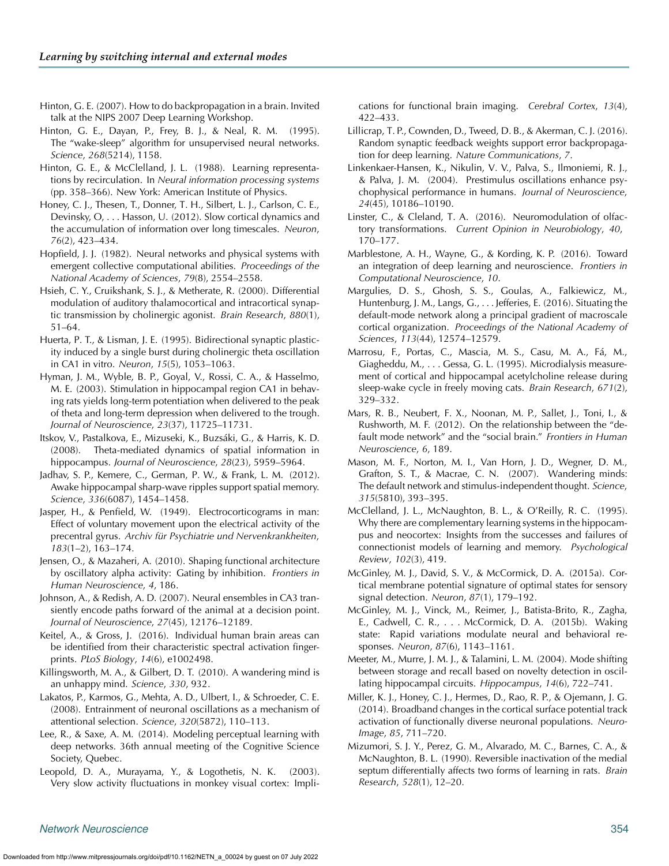- <span id="page-15-36"></span>Hinton, G. E. (2007). How to do backpropagation in a brain. Invited talk at the NIPS 2007 Deep Learning Workshop.
- <span id="page-15-31"></span>Hinton, G. E., Dayan, P., Frey, B. J., & Neal, R. M. (1995). The "wake-sleep" algorithm for unsupervised neural networks. *Science*, *268*(5214), 1158.
- <span id="page-15-3"></span>Hinton, G. E., & McClelland, J. L. (1988). Learning representations by recirculation. In *Neural information processing systems* (pp. 358–366). New York: American Institute of Physics.
- <span id="page-15-14"></span>Honey, C. J., Thesen, T., Donner, T. H., Silbert, L. J., Carlson, C. E., Devinsky, O, . . . Hasson, U. (2012). Slow cortical dynamics and the accumulation of information over long timescales. *Neuron*, *76*(2), 423–434.
- <span id="page-15-1"></span>Hopfield, J. J. (1982). Neural networks and physical systems with emergent collective computational abilities. *Proceedings of the National Academy of Sciences*, *79*(8), 2554–2558.
- <span id="page-15-22"></span>Hsieh, C. Y., Cruikshank, S. J., & Metherate, R. (2000). Differential modulation of auditory thalamocortical and intracortical synaptic transmission by cholinergic agonist. *Brain Research*, *880*(1), 51–64.
- <span id="page-15-5"></span>Huerta, P. T., & Lisman, J. E. (1995). Bidirectional synaptic plasticity induced by a single burst during cholinergic theta oscillation in CA1 in vitro. *Neuron*, *15*(5), 1053–1063.
- <span id="page-15-6"></span>Hyman, J. M., Wyble, B. P., Goyal, V., Rossi, C. A., & Hasselmo, M. E. (2003). Stimulation in hippocampal region CA1 in behaving rats yields long-term potentiation when delivered to the peak of theta and long-term depression when delivered to the trough. *Journal of Neuroscience*, *23*(37), 11725–11731.
- <span id="page-15-4"></span>Itskov, V., Pastalkova, E., Mizuseki, K., Buzsáki, G., & Harris, K. D. (2008). Theta-mediated dynamics of spatial information in hippocampus. *Journal of Neuroscience*, *28*(23), 5959–5964.
- <span id="page-15-26"></span>Jadhav, S. P., Kemere, C., German, P. W., & Frank, L. M. (2012). Awake hippocampal sharp-wave ripples support spatial memory. *Science*, *336*(6087), 1454–1458.
- <span id="page-15-11"></span>Jasper, H., & Penfield, W. (1949). Electrocorticograms in man: Effect of voluntary movement upon the electrical activity of the precentral gyrus. *Archiv für Psychiatrie und Nervenkrankheiten*, *183*(1–2), 163–174.
- <span id="page-15-10"></span>Jensen, O., & Mazaheri, A. (2010). Shaping functional architecture by oscillatory alpha activity: Gating by inhibition. *Frontiers in Human Neuroscience*, *4*, 186.
- <span id="page-15-24"></span>Johnson, A., & Redish, A. D. (2007). Neural ensembles in CA3 transiently encode paths forward of the animal at a decision point. *Journal of Neuroscience*, *27*(45), 12176–12189.
- <span id="page-15-12"></span>Keitel, A., & Gross, J. (2016). Individual human brain areas can be identified from their characteristic spectral activation fingerprints. *PLoS Biology*, *14*(6), e1002498.
- <span id="page-15-23"></span>Killingsworth, M. A., & Gilbert, D. T. (2010). A wandering mind is an unhappy mind. *Science*, *330*, 932.
- <span id="page-15-16"></span>Lakatos, P., Karmos, G., Mehta, A. D., Ulbert, I., & Schroeder, C. E. (2008). Entrainment of neuronal oscillations as a mechanism of attentional selection. *Science*, *320*(5872), 110–113.
- <span id="page-15-37"></span>Lee, R., & Saxe, A. M. (2014). Modeling perceptual learning with deep networks. 36th annual meeting of the Cognitive Science Society, Quebec.
- <span id="page-15-15"></span>Leopold, D. A., Murayama, Y., & Logothetis, N. K. (2003). Very slow activity fluctuations in monkey visual cortex: Impli-

cations for functional brain imaging. *Cerebral Cortex*, *13*(4), 422–433.

- <span id="page-15-2"></span>Lillicrap, T. P., Cownden, D., Tweed, D. B., & Akerman, C. J. (2016). Random synaptic feedback weights support error backpropagation for deep learning. *Nature Communications*, *7*.
- <span id="page-15-18"></span><span id="page-15-17"></span>Linkenkaer-Hansen, K., Nikulin, V. V., Palva, S., Ilmoniemi, R. J., & Palva, J. M. (2004). Prestimulus oscillations enhance psychophysical performance in humans. *Journal of Neuroscience*, *24*(45), 10186–10190.
- <span id="page-15-20"></span>Linster, C., & Cleland, T. A. (2016). Neuromodulation of olfactory transformations. *Current Opinion in Neurobiology*, *40*, 170–177.
- <span id="page-15-35"></span><span id="page-15-34"></span>Marblestone, A. H., Wayne, G., & Kording, K. P. (2016). Toward an integration of deep learning and neuroscience. *Frontiers in Computational Neuroscience*, *10*.
- <span id="page-15-21"></span>Margulies, D. S., Ghosh, S. S., Goulas, A., Falkiewicz, M., Huntenburg, J. M., Langs, G., . . . Jefferies, E. (2016). Situating the default-mode network along a principal gradient of macroscale cortical organization. *Proceedings of the National Academy of Sciences*, *113*(44), 12574–12579.
- <span id="page-15-27"></span>Marrosu, F., Portas, C., Mascia, M. S., Casu, M. A., Fá, M., Giagheddu, M., . . . Gessa, G. L. (1995). Microdialysis measurement of cortical and hippocampal acetylcholine release during sleep-wake cycle in freely moving cats. *Brain Research*, *671*(2), 329–332.
- <span id="page-15-30"></span><span id="page-15-29"></span>Mars, R. B., Neubert, F. X., Noonan, M. P., Sallet, J., Toni, I., & Rushworth, M. F. (2012). On the relationship between the "default mode network" and the "social brain." *Frontiers in Human Neuroscience*, *6*, 189.
- <span id="page-15-28"></span><span id="page-15-25"></span>Mason, M. F., Norton, M. I., Van Horn, J. D., Wegner, D. M., Grafton, S. T., & Macrae, C. N. (2007). Wandering minds: The default network and stimulus-independent thought. *Science*, *315*(5810), 393–395.
- <span id="page-15-33"></span><span id="page-15-32"></span>McClelland, J. L., McNaughton, B. L., & O'Reilly, R. C. (1995). Why there are complementary learning systems in the hippocampus and neocortex: Insights from the successes and failures of connectionist models of learning and memory. *Psychological Review*, *102*(3), 419.
- <span id="page-15-19"></span>McGinley, M. J., David, S. V., & McCormick, D. A. (2015a). Cortical membrane potential signature of optimal states for sensory signal detection. *Neuron*, *87*(1), 179–192.
- <span id="page-15-0"></span>McGinley, M. J., Vinck, M., Reimer, J., Batista-Brito, R., Zagha, E., Cadwell, C. R., . . . McCormick, D. A. (2015b). Waking state: Rapid variations modulate neural and behavioral responses. *Neuron*, *87*(6), 1143–1161.
- <span id="page-15-8"></span><span id="page-15-7"></span>Meeter, M., Murre, J. M. J., & Talamini, L. M. (2004). Mode shifting between storage and recall based on novelty detection in oscillating hippocampal circuits. *Hippocampus*, *14*(6), 722–741.
- <span id="page-15-13"></span>Miller, K. J., Honey, C. J., Hermes, D., Rao, R. P., & Ojemann, J. G. (2014). Broadband changes in the cortical surface potential track activation of functionally diverse neuronal populations. *Neuro-Image*, *85*, 711–720.
- <span id="page-15-9"></span>Mizumori, S. J. Y., Perez, G. M., Alvarado, M. C., Barnes, C. A., & McNaughton, B. L. (1990). Reversible inactivation of the medial septum differentially affects two forms of learning in rats. *Brain Research*, *528*(1), 12–20.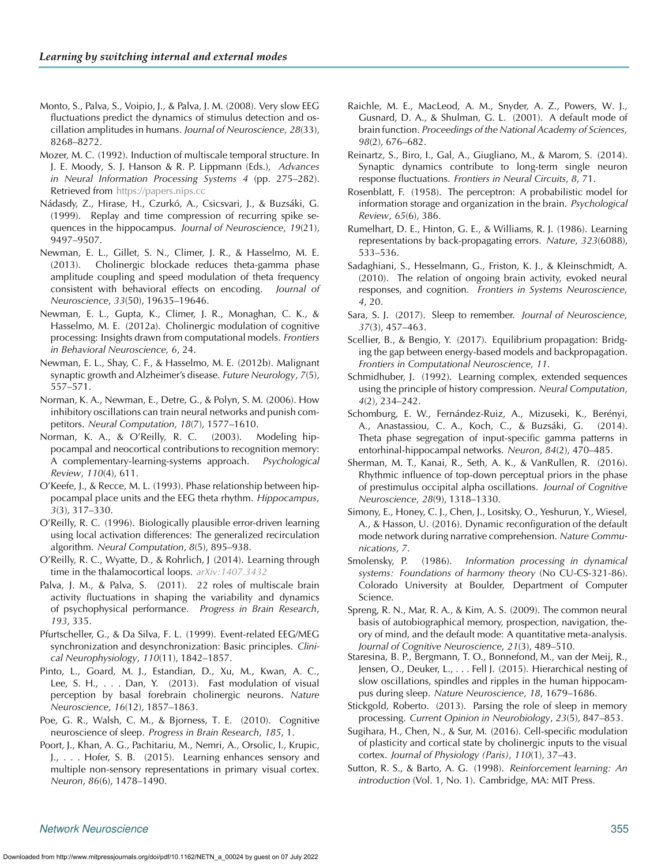- <span id="page-16-18"></span>Monto, S., Palva, S., Voipio, J., & Palva, J. M. (2008). Very slow EEG fluctuations predict the dynamics of stimulus detection and oscillation amplitudes in humans. *Journal of Neuroscience*, *28*(33), 8268–8272.
- <span id="page-16-31"></span>Mozer, M. C. (1992). Induction of multiscale temporal structure. In J. E. Moody, S. J. Hanson & R. P. Lippmann (Eds.), *Advances in Neural Information Processing Systems 4* (pp. 275–282). Retrieved from <https://papers.nips.cc>
- <span id="page-16-25"></span>Nádasdy, Z., Hirase, H., Czurkó, A., Csicsvari, J., & Buzsáki, G. (1999). Replay and time compression of recurring spike sequences in the hippocampus. *Journal of Neuroscience*, *19*(21), 9497–9507.
- <span id="page-16-11"></span>Newman, E. L., Gillet, S. N., Climer, J. R., & Hasselmo, M. E. (2013). Cholinergic blockade reduces theta-gamma phase amplitude coupling and speed modulation of theta frequency consistent with behavioral effects on encoding. *Journal of Neuroscience*, *33*(50), 19635–19646.
- Newman, E. L., Gupta, K., Climer, J. R., Monaghan, C. K., & Hasselmo, M. E. (2012a). Cholinergic modulation of cognitive processing: Insights drawn from computational models. *Frontiers in Behavioral Neuroscience*, *6*, 24.
- <span id="page-16-29"></span>Newman, E. L., Shay, C. F., & Hasselmo, M. E. (2012b). Malignant synaptic growth and Alzheimer's disease. *Future Neurology*, *7*(5), 557–571.
- <span id="page-16-8"></span>Norman, K. A., Newman, E., Detre, G., & Polyn, S. M. (2006). How inhibitory oscillations can train neural networks and punish competitors. *Neural Computation*, *18*(7), 1577–1610.
- <span id="page-16-33"></span>Norman, K. A., & O'Reilly, R. C. (2003). Modeling hippocampal and neocortical contributions to recognition memory: A complementary-learning-systems approach. *Psychological Review*, *110*(4), 611.
- <span id="page-16-7"></span>O'Keefe, J., & Recce, M. L. (1993). Phase relationship between hippocampal place units and the EEG theta rhythm. *Hippocampus*, *3*(3), 317–330.
- <span id="page-16-4"></span>O'Reilly, R. C. (1996). Biologically plausible error-driven learning using local activation differences: The generalized recirculation algorithm. *Neural Computation*, *8*(5), 895–938.
- <span id="page-16-15"></span>O'Reilly, R. C., Wyatte, D., & Rohrlich, J (2014). Learning through time in the thalamocortical loops. *[arXiv:1407.3432](https://dx.doi.org/arXiv:1407.3432)*
- <span id="page-16-0"></span>Palva, J. M., & Palva, S. (2011). 22 roles of multiscale brain activity fluctuations in shaping the variability and dynamics of psychophysical performance. *Progress in Brain Research*, *193*, 335.
- <span id="page-16-12"></span>Pfurtscheller, G., & Da Silva, F. L. (1999). Event-related EEG/MEG synchronization and desynchronization: Basic principles. *Clinical Neurophysiology*, *110*(11), 1842–1857.
- <span id="page-16-17"></span>Pinto, L., Goard, M. J., Estandian, D., Xu, M., Kwan, A. C., Lee, S. H., . . . Dan, Y. (2013). Fast modulation of visual perception by basal forebrain cholinergic neurons. *Nature Neuroscience*, *16*(12), 1857–1863.
- <span id="page-16-28"></span>Poe, G. R., Walsh, C. M., & Bjorness, T. E. (2010). Cognitive neuroscience of sleep. *Progress in Brain Research*, *185*, 1.
- <span id="page-16-37"></span>Poort, J., Khan, A. G., Pachitariu, M., Nemri, A., Orsolic, I., Krupic, J., . . . Hofer, S. B. (2015). Learning enhances sensory and multiple non-sensory representations in primary visual cortex. *Neuron*, *86*(6), 1478–1490.
- <span id="page-16-20"></span>Raichle, M. E., MacLeod, A. M., Snyder, A. Z., Powers, W. J., Gusnard, D. A., & Shulman, G. L. (2001). A default mode of brain function. *Proceedings of the National Academy of Sciences*, *98*(2), 676–682.
- <span id="page-16-34"></span>Reinartz, S., Biro, I., Gal, A., Giugliano, M., & Marom, S. (2014). Synaptic dynamics contribute to long-term single neuron response fluctuations. *Frontiers in Neural Circuits*, *8*, 71.
- <span id="page-16-1"></span>Rosenblatt, F. (1958). The perceptron: A probabilistic model for information storage and organization in the brain. *Psychological Review*, *65*(6), 386.
- <span id="page-16-3"></span><span id="page-16-2"></span>Rumelhart, D. E., Hinton, G. E., & Williams, R. J. (1986). Learning representations by back-propagating errors. *Nature*, *323*(6088), 533–536.
- <span id="page-16-19"></span><span id="page-16-10"></span>Sadaghiani, S., Hesselmann, G., Friston, K. J., & Kleinschmidt, A. (2010). The relation of ongoing brain activity, evoked neural responses, and cognition. *Frontiers in Systems Neuroscience*, *4*, 20.
- <span id="page-16-27"></span><span id="page-16-16"></span>Sara, S. J. (2017). Sleep to remember. *Journal of Neuroscience*, *37*(3), 457–463.
- <span id="page-16-30"></span>Scellier, B., & Bengio, Y. (2017). Equilibrium propagation: Bridging the gap between energy-based models and backpropagation. *Frontiers in Computational Neuroscience*, *11*.
- <span id="page-16-32"></span>Schmidhuber, J. (1992). Learning complex, extended sequences using the principle of history compression. *Neural Computation*, *4*(2), 234–242.
- <span id="page-16-9"></span>Schomburg, E. W., Fernández-Ruiz, A., Mizuseki, K., Berényi, A., Anastassiou, C. A., Koch, C., & Buzsáki, G. (2014). Theta phase segregation of input-specific gamma patterns in entorhinal-hippocampal networks. *Neuron*, *84*(2), 470–485.
- <span id="page-16-13"></span><span id="page-16-6"></span>Sherman, M. T., Kanai, R., Seth, A. K., & VanRullen, R. (2016). Rhythmic influence of top-down perceptual priors in the phase of prestimulus occipital alpha oscillations. *Journal of Cognitive Neuroscience*, *28*(9), 1318–1330.
- <span id="page-16-21"></span>Simony, E., Honey, C. J., Chen, J., Lositsky, O., Yeshurun, Y., Wiesel, A., & Hasson, U. (2016). Dynamic reconfiguration of the default mode network during narrative comprehension. *Nature Communications*, *7*.
- <span id="page-16-14"></span><span id="page-16-5"></span>Smolensky, P. (1986). *Information processing in dynamical systems: Foundations of harmony theory* (No CU-CS-321-86). Colorado University at Boulder, Department of Computer Science.
- <span id="page-16-23"></span><span id="page-16-22"></span>Spreng, R. N., Mar, R. A., & Kim, A. S. (2009). The common neural basis of autobiographical memory, prospection, navigation, theory of mind, and the default mode: A quantitative meta-analysis. *Journal of Cognitive Neuroscience*, *21*(3), 489–510.
- <span id="page-16-26"></span>Staresina, B. P., Bergmann, T. O., Bonnefond, M., van der Meij, R., Jensen, O., Deuker, L., . . . Fell J. (2015). Hierarchical nesting of slow oscillations, spindles and ripples in the human hippocampus during sleep. *Nature Neuroscience*, *18*, 1679–1686.
- <span id="page-16-24"></span>Stickgold, Roberto. (2013). Parsing the role of sleep in memory processing. *Current Opinion in Neurobiology*, *23*(5), 847–853.
- <span id="page-16-36"></span>Sugihara, H., Chen, N., & Sur, M. (2016). Cell-specific modulation of plasticity and cortical state by cholinergic inputs to the visual cortex. *Journal of Physiology (Paris)*, *110*(1), 37–43.
- <span id="page-16-35"></span>Sutton, R. S., & Barto, A. G. (1998). *Reinforcement learning: An introduction* (Vol. 1, No. 1). Cambridge, MA: MIT Press.